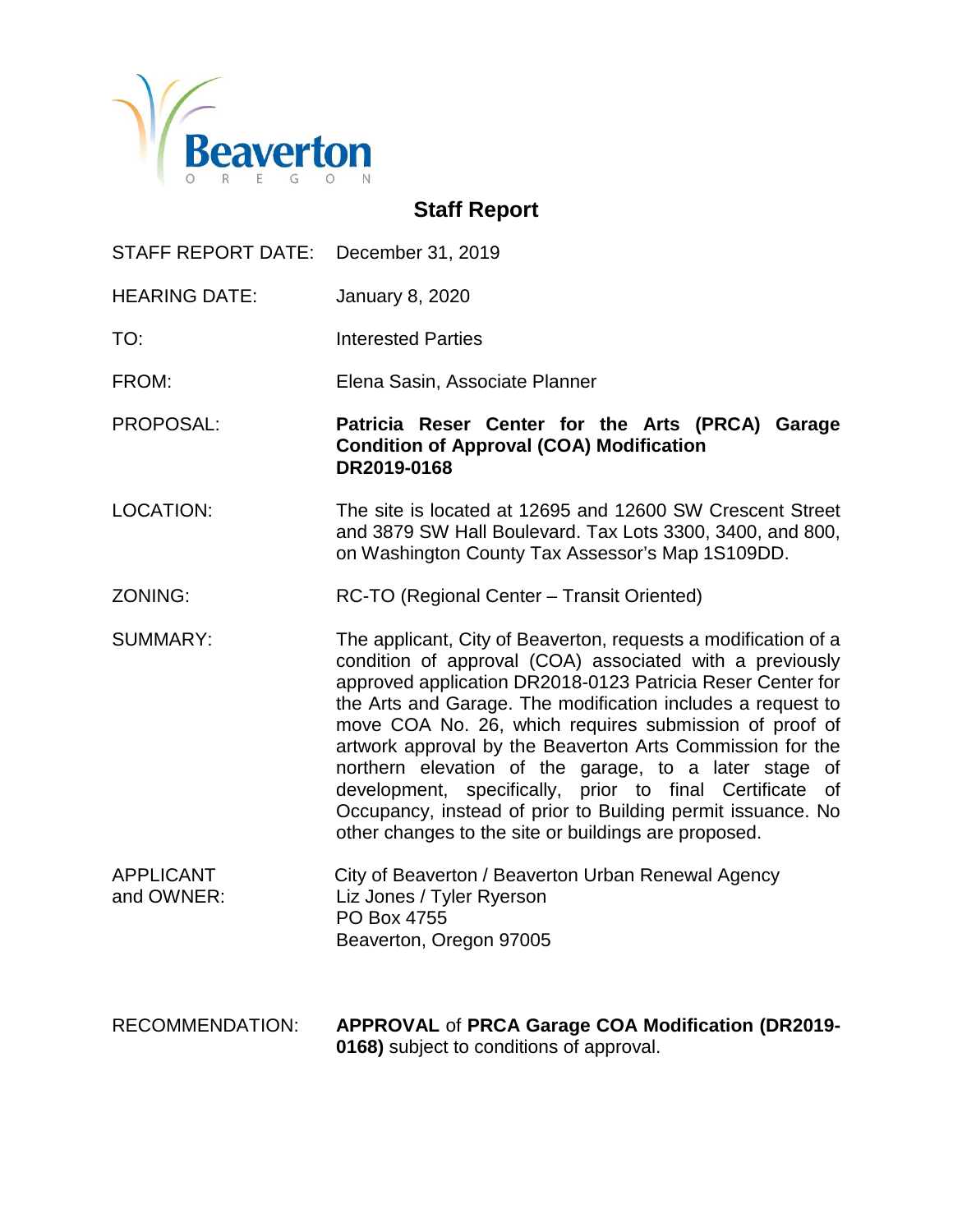

# **Staff Report**

| STAFF REPORT DATE: December 31, 2019 |                                                                                                                                                                                                                                                                                                                                                                                                                                                                                                                                                                                                                               |  |
|--------------------------------------|-------------------------------------------------------------------------------------------------------------------------------------------------------------------------------------------------------------------------------------------------------------------------------------------------------------------------------------------------------------------------------------------------------------------------------------------------------------------------------------------------------------------------------------------------------------------------------------------------------------------------------|--|
| <b>HEARING DATE:</b>                 | <b>January 8, 2020</b>                                                                                                                                                                                                                                                                                                                                                                                                                                                                                                                                                                                                        |  |
| TO:                                  | <b>Interested Parties</b>                                                                                                                                                                                                                                                                                                                                                                                                                                                                                                                                                                                                     |  |
| FROM:                                | Elena Sasin, Associate Planner                                                                                                                                                                                                                                                                                                                                                                                                                                                                                                                                                                                                |  |
| PROPOSAL:                            | Patricia Reser Center for the Arts (PRCA) Garage<br><b>Condition of Approval (COA) Modification</b><br>DR2019-0168                                                                                                                                                                                                                                                                                                                                                                                                                                                                                                            |  |
| <b>LOCATION:</b>                     | The site is located at 12695 and 12600 SW Crescent Street<br>and 3879 SW Hall Boulevard. Tax Lots 3300, 3400, and 800,<br>on Washington County Tax Assessor's Map 1S109DD.                                                                                                                                                                                                                                                                                                                                                                                                                                                    |  |
| ZONING:                              | RC-TO (Regional Center – Transit Oriented)                                                                                                                                                                                                                                                                                                                                                                                                                                                                                                                                                                                    |  |
| <b>SUMMARY:</b>                      | The applicant, City of Beaverton, requests a modification of a<br>condition of approval (COA) associated with a previously<br>approved application DR2018-0123 Patricia Reser Center for<br>the Arts and Garage. The modification includes a request to<br>move COA No. 26, which requires submission of proof of<br>artwork approval by the Beaverton Arts Commission for the<br>northern elevation of the garage, to a later stage of<br>development, specifically, prior to final Certificate<br>0f<br>Occupancy, instead of prior to Building permit issuance. No<br>other changes to the site or buildings are proposed. |  |
| <b>APPLICANT</b><br>and OWNER:       | City of Beaverton / Beaverton Urban Renewal Agency<br>Liz Jones / Tyler Ryerson<br>PO Box 4755<br>Beaverton, Oregon 97005                                                                                                                                                                                                                                                                                                                                                                                                                                                                                                     |  |
| <b>RECOMMENDATION:</b>               | <b>APPROVAL of PRCA Garage COA Modification (DR2019-</b><br>0168) subject to conditions of approval.                                                                                                                                                                                                                                                                                                                                                                                                                                                                                                                          |  |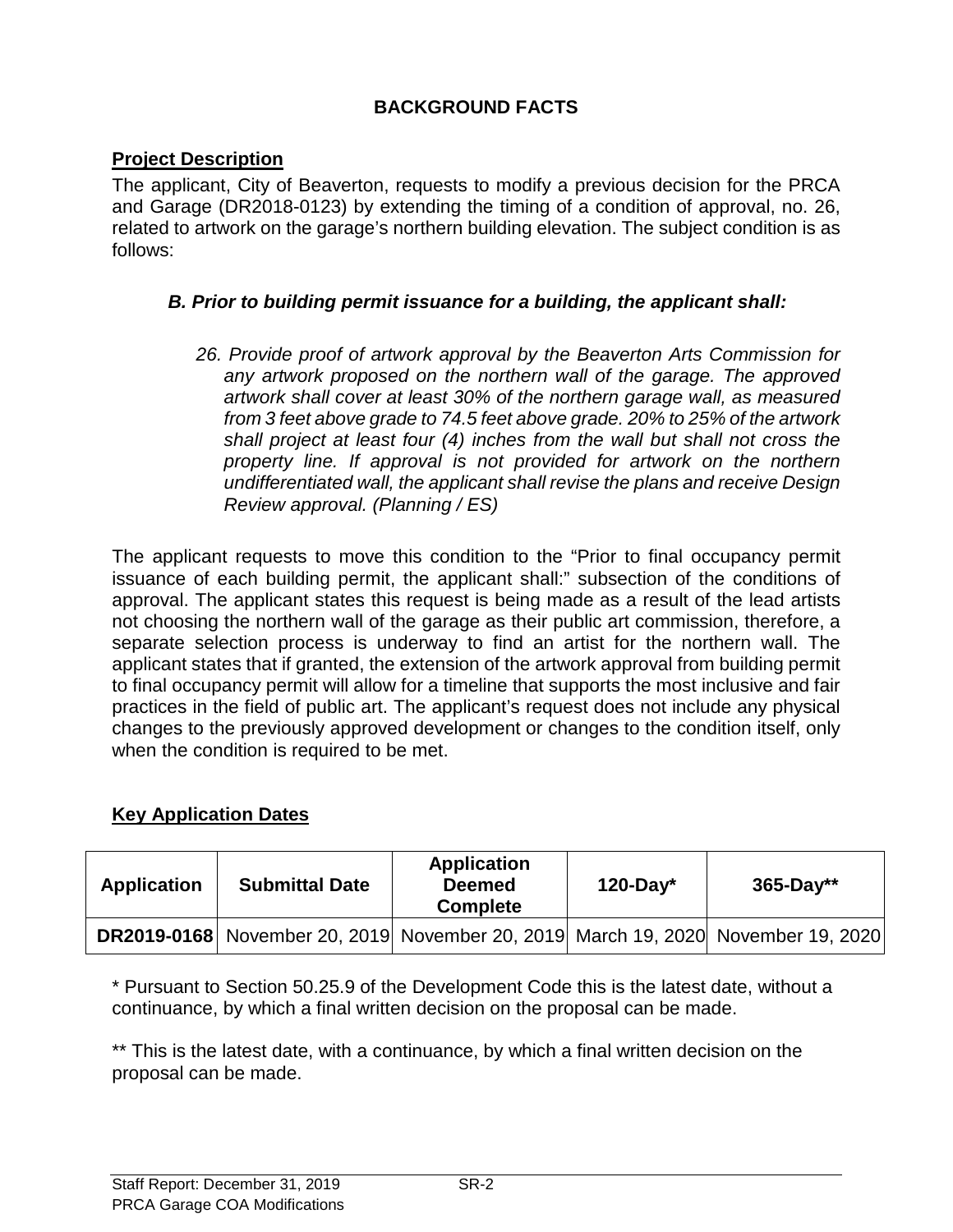# **BACKGROUND FACTS**

#### **Project Description**

The applicant, City of Beaverton, requests to modify a previous decision for the PRCA and Garage (DR2018-0123) by extending the timing of a condition of approval, no. 26, related to artwork on the garage's northern building elevation. The subject condition is as follows:

### *B. Prior to building permit issuance for a building, the applicant shall:*

*26. Provide proof of artwork approval by the Beaverton Arts Commission for any artwork proposed on the northern wall of the garage. The approved artwork shall cover at least 30% of the northern garage wall, as measured from 3 feet above grade to 74.5 feet above grade. 20% to 25% of the artwork shall project at least four (4) inches from the wall but shall not cross the property line. If approval is not provided for artwork on the northern undifferentiated wall, the applicant shall revise the plans and receive Design Review approval. (Planning / ES)*

The applicant requests to move this condition to the "Prior to final occupancy permit issuance of each building permit, the applicant shall:" subsection of the conditions of approval. The applicant states this request is being made as a result of the lead artists not choosing the northern wall of the garage as their public art commission, therefore, a separate selection process is underway to find an artist for the northern wall. The applicant states that if granted, the extension of the artwork approval from building permit to final occupancy permit will allow for a timeline that supports the most inclusive and fair practices in the field of public art. The applicant's request does not include any physical changes to the previously approved development or changes to the condition itself, only when the condition is required to be met.

#### **Key Application Dates**

| <b>Application</b> | <b>Submittal Date</b> | <b>Application</b><br><b>Deemed</b><br><b>Complete</b> | $120$ -Day* | $365 - Day**$                                                                           |
|--------------------|-----------------------|--------------------------------------------------------|-------------|-----------------------------------------------------------------------------------------|
|                    |                       |                                                        |             | <b>DR2019-0168</b> November 20, 2019 November 20, 2019 March 19, 2020 November 19, 2020 |

\* Pursuant to Section 50.25.9 of the Development Code this is the latest date, without a continuance, by which a final written decision on the proposal can be made.

\*\* This is the latest date, with a continuance, by which a final written decision on the proposal can be made.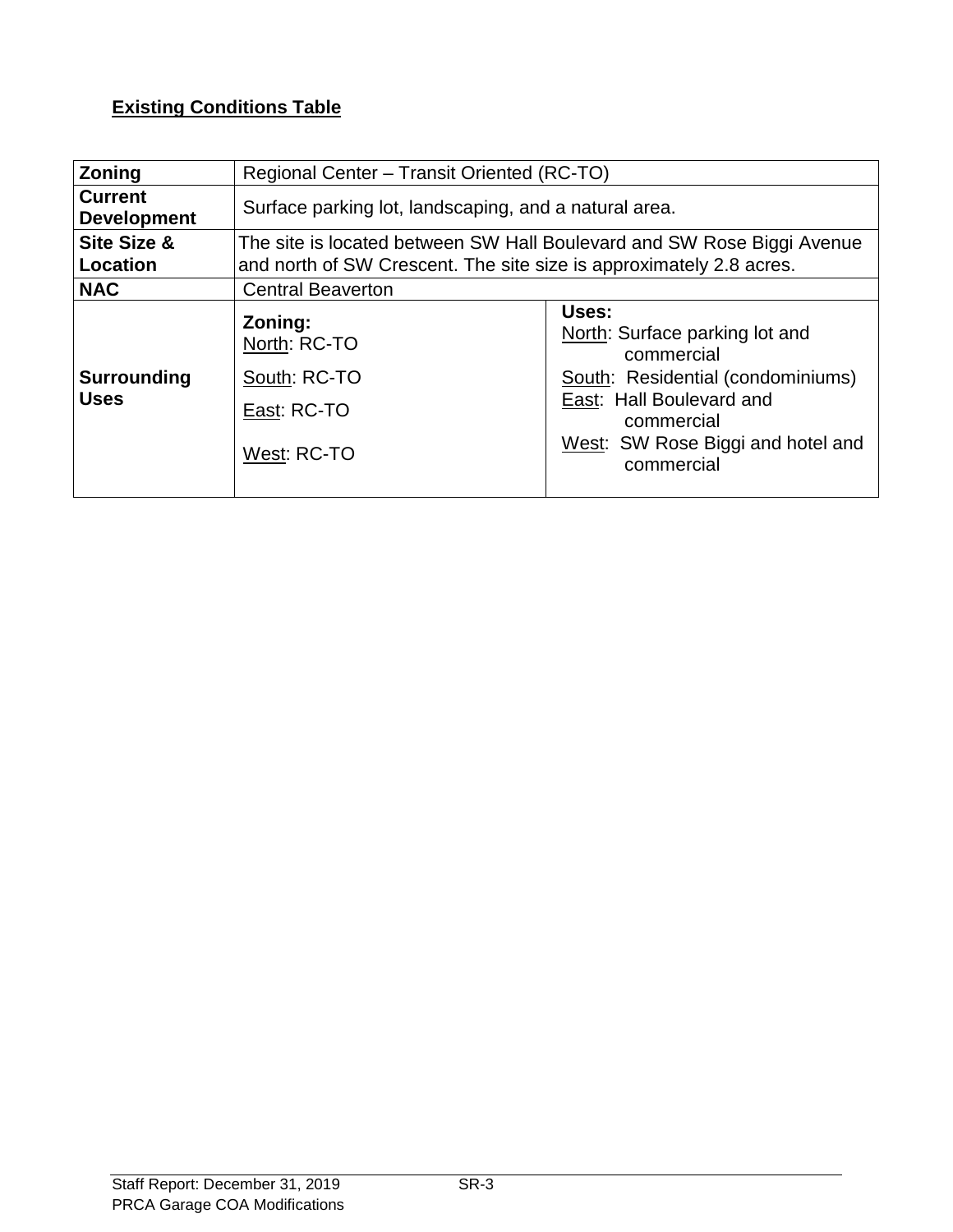# **Existing Conditions Table**

| <b>Zoning</b>                        | Regional Center – Transit Oriented (RC-TO)                                                                                                    |                                                                                                                                                                                         |  |
|--------------------------------------|-----------------------------------------------------------------------------------------------------------------------------------------------|-----------------------------------------------------------------------------------------------------------------------------------------------------------------------------------------|--|
| <b>Current</b><br><b>Development</b> | Surface parking lot, landscaping, and a natural area.                                                                                         |                                                                                                                                                                                         |  |
| <b>Site Size &amp;</b><br>Location   | The site is located between SW Hall Boulevard and SW Rose Biggi Avenue<br>and north of SW Crescent. The site size is approximately 2.8 acres. |                                                                                                                                                                                         |  |
| <b>NAC</b>                           | <b>Central Beaverton</b>                                                                                                                      |                                                                                                                                                                                         |  |
| <b>Surrounding</b><br><b>Uses</b>    | Zoning:<br>North: RC-TO<br>South: RC-TO<br>East: RC-TO<br>West: RC-TO                                                                         | Uses:<br>North: Surface parking lot and<br>commercial<br>South: Residential (condominiums)<br>East: Hall Boulevard and<br>commercial<br>West: SW Rose Biggi and hotel and<br>commercial |  |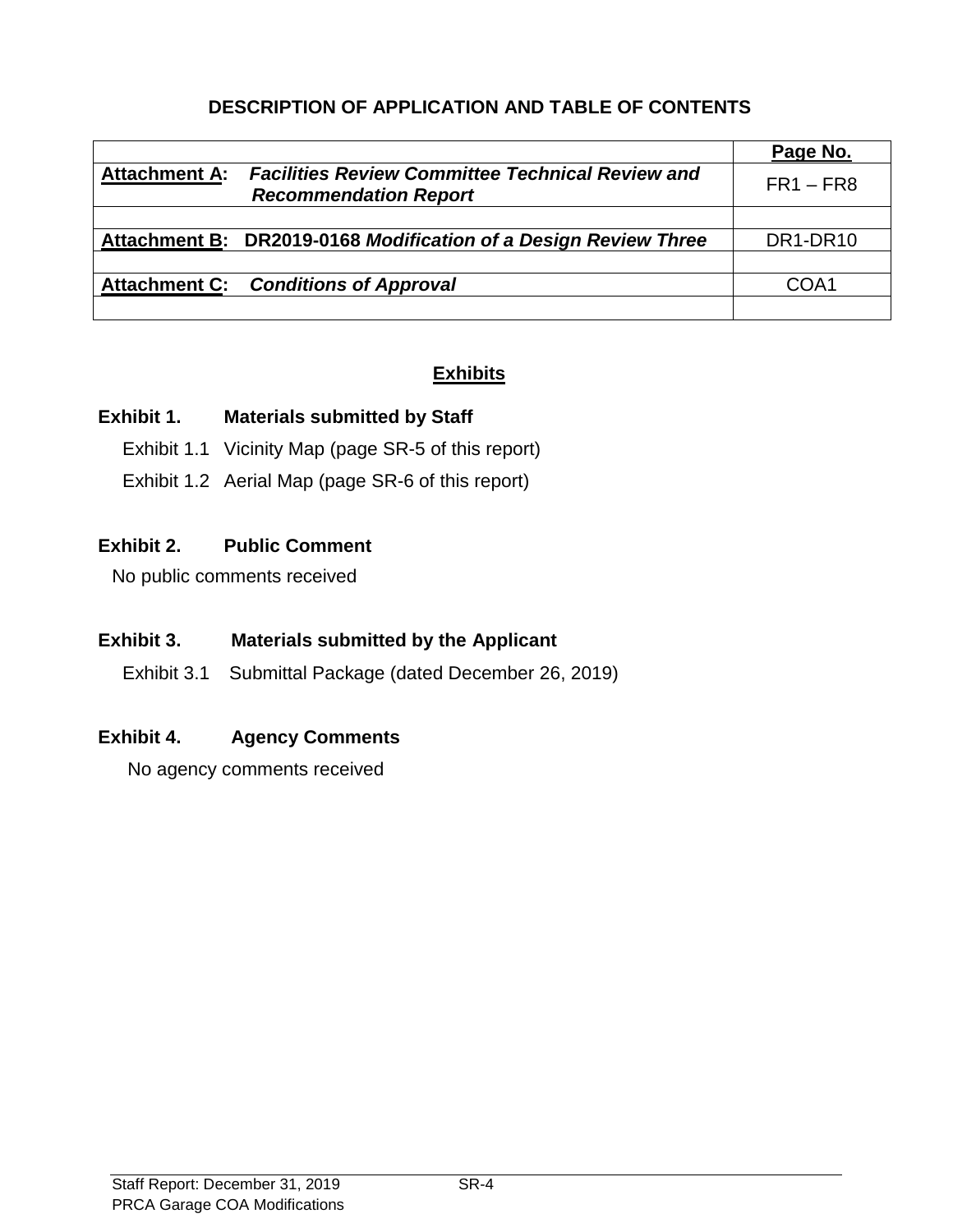# **DESCRIPTION OF APPLICATION AND TABLE OF CONTENTS**

|                      |                                                                                         | Page No.                          |
|----------------------|-----------------------------------------------------------------------------------------|-----------------------------------|
| <b>Attachment A:</b> | <b>Facilities Review Committee Technical Review and</b><br><b>Recommendation Report</b> | $FR1 - FR8$                       |
|                      |                                                                                         |                                   |
|                      | Attachment B: DR2019-0168 Modification of a Design Review Three                         | DR <sub>1</sub> -DR <sub>10</sub> |
|                      |                                                                                         |                                   |
|                      | <b>Attachment C: Conditions of Approval</b>                                             | COA1                              |
|                      |                                                                                         |                                   |

# **Exhibits**

#### **Exhibit 1. Materials submitted by Staff**

- Exhibit 1.1 Vicinity Map (page SR-5 of this report)
- Exhibit 1.2 Aerial Map (page SR-6 of this report)

# **Exhibit 2. Public Comment**

No public comments received

# **Exhibit 3. Materials submitted by the Applicant**

Exhibit 3.1 Submittal Package (dated December 26, 2019)

#### **Exhibit 4. Agency Comments**

No agency comments received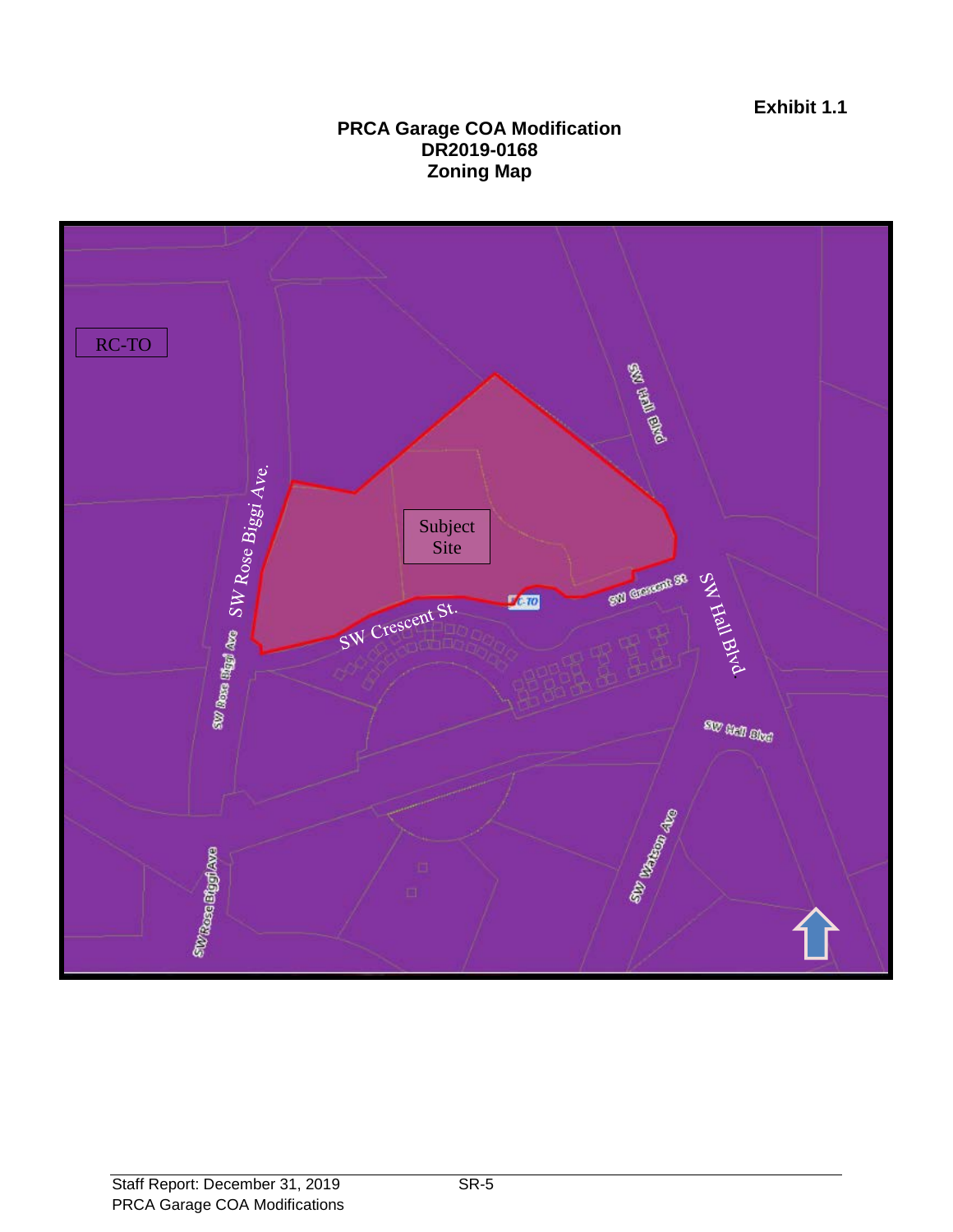#### **PRCA Garage COA Modification DR2019-0168 Zoning Map**

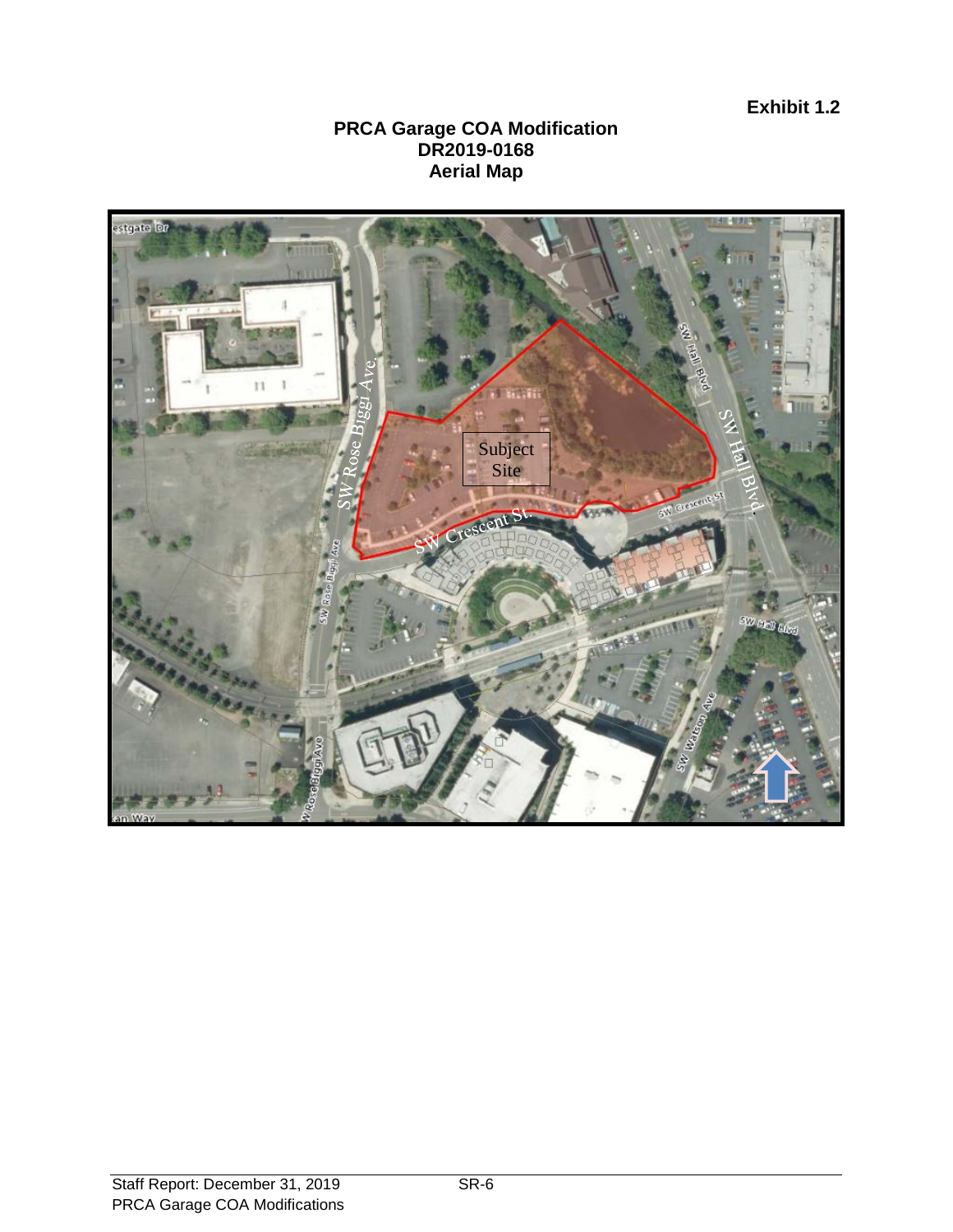**Exhibit 1.2**

#### **PRCA Garage COA Modification DR2019-0168 Aerial Map**

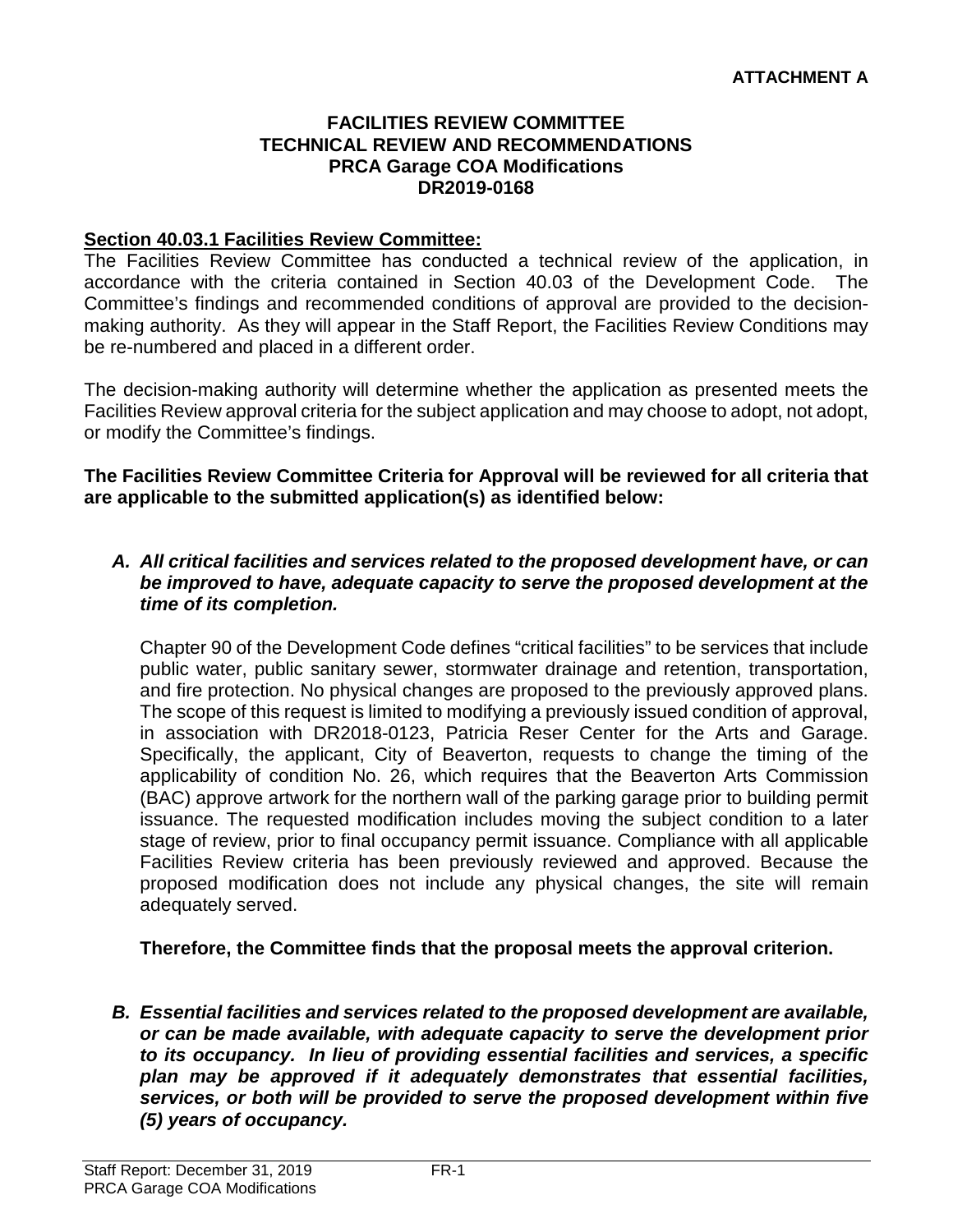#### **FACILITIES REVIEW COMMITTEE TECHNICAL REVIEW AND RECOMMENDATIONS PRCA Garage COA Modifications DR2019-0168**

#### **Section 40.03.1 Facilities Review Committee:**

The Facilities Review Committee has conducted a technical review of the application, in accordance with the criteria contained in Section 40.03 of the Development Code. The Committee's findings and recommended conditions of approval are provided to the decisionmaking authority. As they will appear in the Staff Report, the Facilities Review Conditions may be re-numbered and placed in a different order.

The decision-making authority will determine whether the application as presented meets the Facilities Review approval criteria for the subject application and may choose to adopt, not adopt, or modify the Committee's findings.

**The Facilities Review Committee Criteria for Approval will be reviewed for all criteria that are applicable to the submitted application(s) as identified below:**

#### *A. All critical facilities and services related to the proposed development have, or can be improved to have, adequate capacity to serve the proposed development at the time of its completion.*

Chapter 90 of the Development Code defines "critical facilities" to be services that include public water, public sanitary sewer, stormwater drainage and retention, transportation, and fire protection. No physical changes are proposed to the previously approved plans. The scope of this request is limited to modifying a previously issued condition of approval, in association with DR2018-0123, Patricia Reser Center for the Arts and Garage. Specifically, the applicant, City of Beaverton, requests to change the timing of the applicability of condition No. 26, which requires that the Beaverton Arts Commission (BAC) approve artwork for the northern wall of the parking garage prior to building permit issuance. The requested modification includes moving the subject condition to a later stage of review, prior to final occupancy permit issuance. Compliance with all applicable Facilities Review criteria has been previously reviewed and approved. Because the proposed modification does not include any physical changes, the site will remain adequately served.

**Therefore, the Committee finds that the proposal meets the approval criterion.** 

*B. Essential facilities and services related to the proposed development are available, or can be made available, with adequate capacity to serve the development prior to its occupancy. In lieu of providing essential facilities and services, a specific plan may be approved if it adequately demonstrates that essential facilities, services, or both will be provided to serve the proposed development within five (5) years of occupancy.*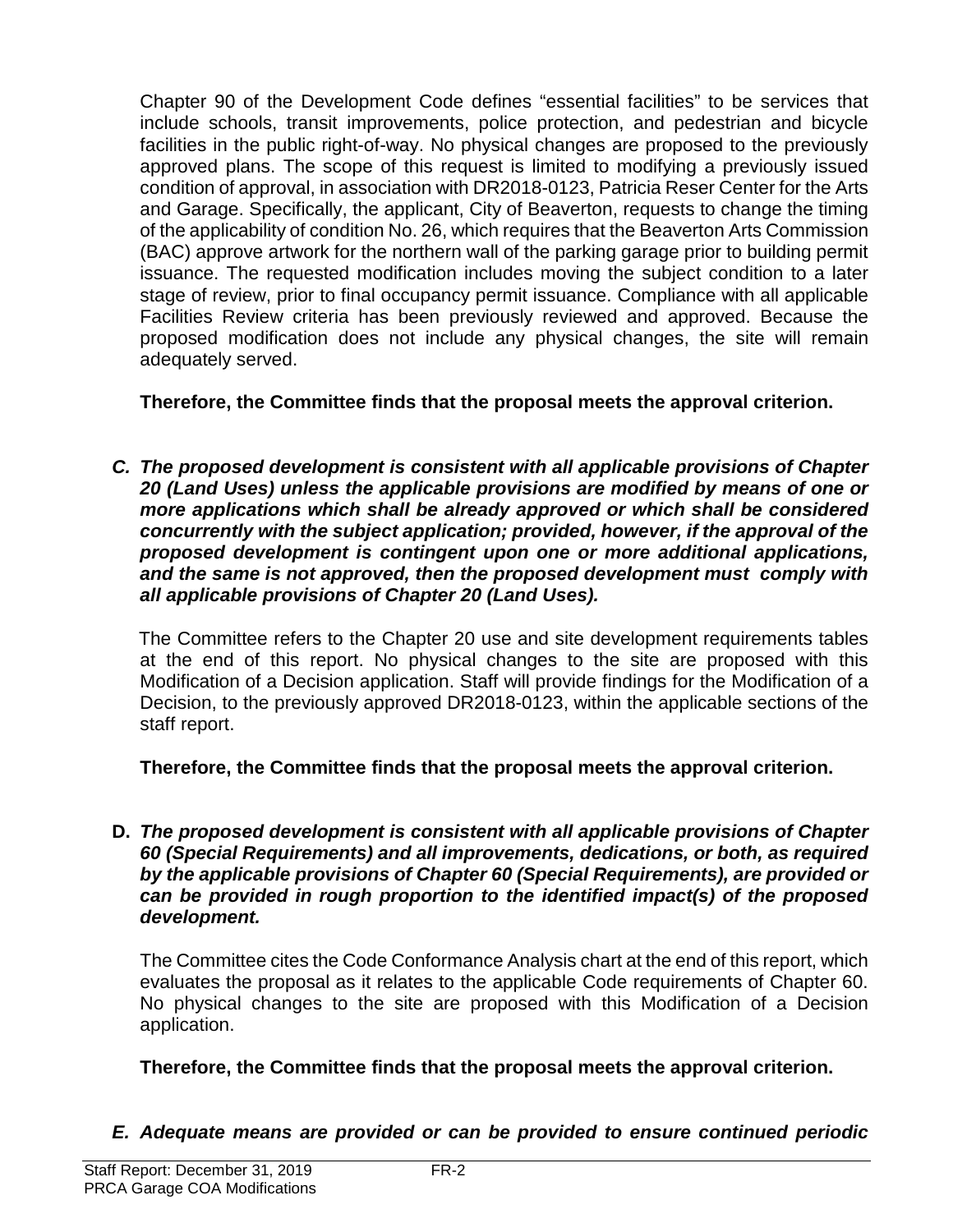Chapter 90 of the Development Code defines "essential facilities" to be services that include schools, transit improvements, police protection, and pedestrian and bicycle facilities in the public right-of-way. No physical changes are proposed to the previously approved plans. The scope of this request is limited to modifying a previously issued condition of approval, in association with DR2018-0123, Patricia Reser Center for the Arts and Garage. Specifically, the applicant, City of Beaverton, requests to change the timing of the applicability of condition No. 26, which requires that the Beaverton Arts Commission (BAC) approve artwork for the northern wall of the parking garage prior to building permit issuance. The requested modification includes moving the subject condition to a later stage of review, prior to final occupancy permit issuance. Compliance with all applicable Facilities Review criteria has been previously reviewed and approved. Because the proposed modification does not include any physical changes, the site will remain adequately served.

**Therefore, the Committee finds that the proposal meets the approval criterion.** 

*C. The proposed development is consistent with all applicable provisions of Chapter 20 (Land Uses) unless the applicable provisions are modified by means of one or more applications which shall be already approved or which shall be considered concurrently with the subject application; provided, however, if the approval of the proposed development is contingent upon one or more additional applications, and the same is not approved, then the proposed development must comply with all applicable provisions of Chapter 20 (Land Uses).*

The Committee refers to the Chapter 20 use and site development requirements tables at the end of this report. No physical changes to the site are proposed with this Modification of a Decision application. Staff will provide findings for the Modification of a Decision, to the previously approved DR2018-0123, within the applicable sections of the staff report.

**Therefore, the Committee finds that the proposal meets the approval criterion.** 

**D.** *The proposed development is consistent with all applicable provisions of Chapter 60 (Special Requirements) and all improvements, dedications, or both, as required by the applicable provisions of Chapter 60 (Special Requirements), are provided or can be provided in rough proportion to the identified impact(s) of the proposed development.*

The Committee cites the Code Conformance Analysis chart at the end of this report, which evaluates the proposal as it relates to the applicable Code requirements of Chapter 60. No physical changes to the site are proposed with this Modification of a Decision application.

**Therefore, the Committee finds that the proposal meets the approval criterion.** 

*E. Adequate means are provided or can be provided to ensure continued periodic*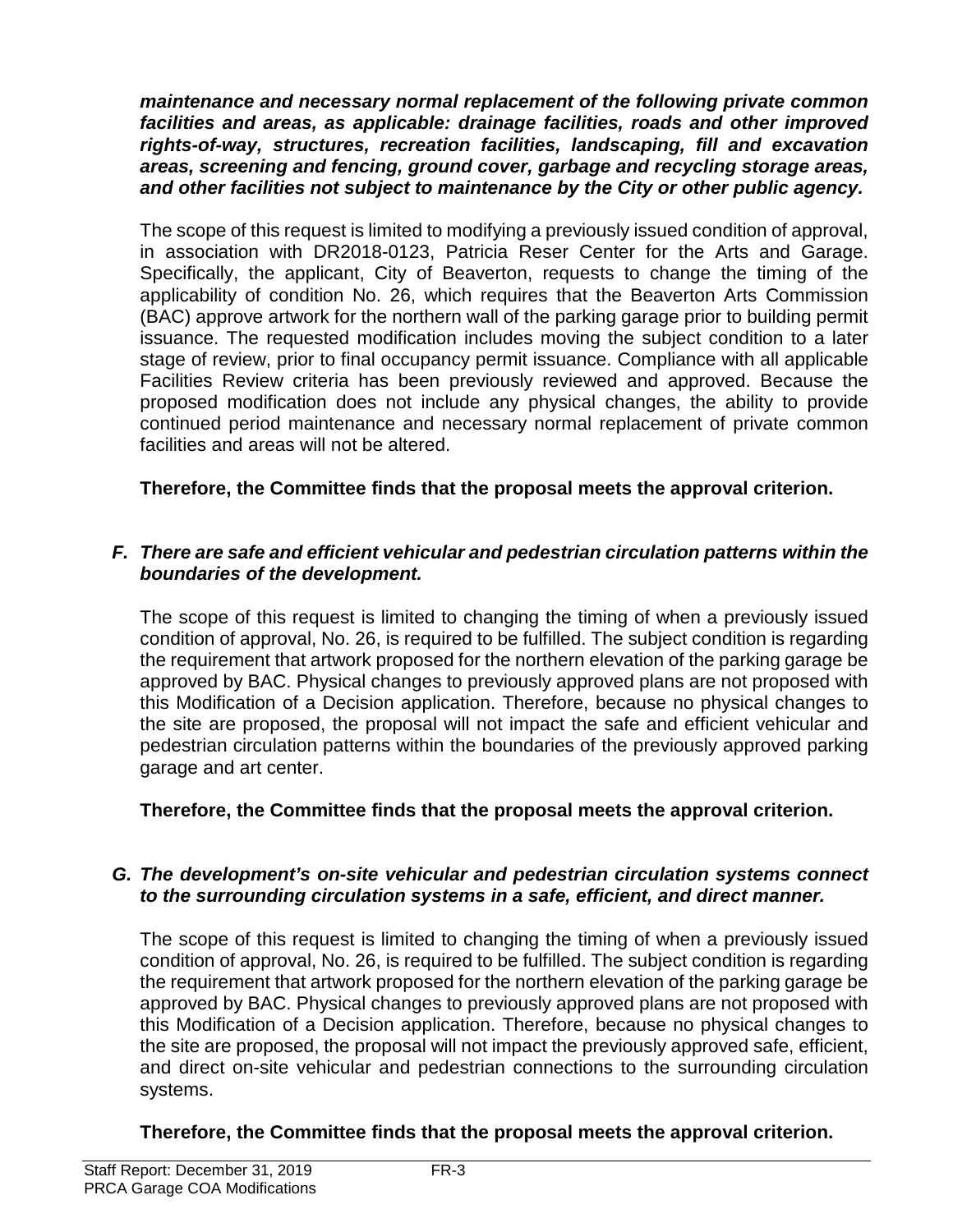*maintenance and necessary normal replacement of the following private common facilities and areas, as applicable: drainage facilities, roads and other improved rights-of-way, structures, recreation facilities, landscaping, fill and excavation areas, screening and fencing, ground cover, garbage and recycling storage areas, and other facilities not subject to maintenance by the City or other public agency.*

The scope of this request is limited to modifying a previously issued condition of approval, in association with DR2018-0123, Patricia Reser Center for the Arts and Garage. Specifically, the applicant, City of Beaverton, requests to change the timing of the applicability of condition No. 26, which requires that the Beaverton Arts Commission (BAC) approve artwork for the northern wall of the parking garage prior to building permit issuance. The requested modification includes moving the subject condition to a later stage of review, prior to final occupancy permit issuance. Compliance with all applicable Facilities Review criteria has been previously reviewed and approved. Because the proposed modification does not include any physical changes, the ability to provide continued period maintenance and necessary normal replacement of private common facilities and areas will not be altered.

# **Therefore, the Committee finds that the proposal meets the approval criterion.**

#### *F. There are safe and efficient vehicular and pedestrian circulation patterns within the boundaries of the development.*

The scope of this request is limited to changing the timing of when a previously issued condition of approval, No. 26, is required to be fulfilled. The subject condition is regarding the requirement that artwork proposed for the northern elevation of the parking garage be approved by BAC. Physical changes to previously approved plans are not proposed with this Modification of a Decision application. Therefore, because no physical changes to the site are proposed, the proposal will not impact the safe and efficient vehicular and pedestrian circulation patterns within the boundaries of the previously approved parking garage and art center.

#### **Therefore, the Committee finds that the proposal meets the approval criterion.**

#### *G. The development's on-site vehicular and pedestrian circulation systems connect to the surrounding circulation systems in a safe, efficient, and direct manner.*

The scope of this request is limited to changing the timing of when a previously issued condition of approval, No. 26, is required to be fulfilled. The subject condition is regarding the requirement that artwork proposed for the northern elevation of the parking garage be approved by BAC. Physical changes to previously approved plans are not proposed with this Modification of a Decision application. Therefore, because no physical changes to the site are proposed, the proposal will not impact the previously approved safe, efficient, and direct on-site vehicular and pedestrian connections to the surrounding circulation systems.

#### **Therefore, the Committee finds that the proposal meets the approval criterion.**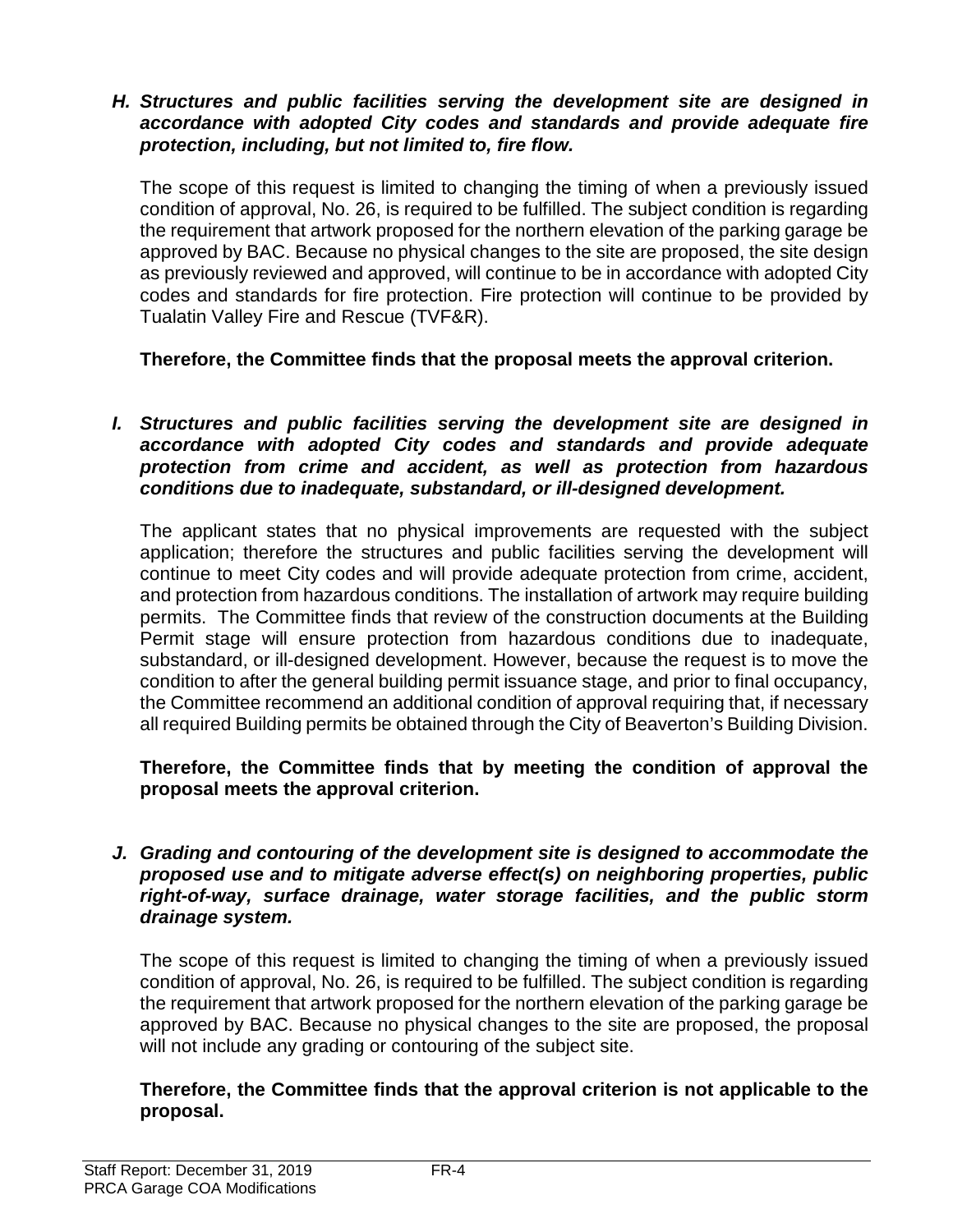#### *H. Structures and public facilities serving the development site are designed in accordance with adopted City codes and standards and provide adequate fire protection, including, but not limited to, fire flow.*

The scope of this request is limited to changing the timing of when a previously issued condition of approval, No. 26, is required to be fulfilled. The subject condition is regarding the requirement that artwork proposed for the northern elevation of the parking garage be approved by BAC. Because no physical changes to the site are proposed, the site design as previously reviewed and approved, will continue to be in accordance with adopted City codes and standards for fire protection. Fire protection will continue to be provided by Tualatin Valley Fire and Rescue (TVF&R).

**Therefore, the Committee finds that the proposal meets the approval criterion.** 

*I. Structures and public facilities serving the development site are designed in accordance with adopted City codes and standards and provide adequate protection from crime and accident, as well as protection from hazardous conditions due to inadequate, substandard, or ill-designed development.*

The applicant states that no physical improvements are requested with the subject application; therefore the structures and public facilities serving the development will continue to meet City codes and will provide adequate protection from crime, accident, and protection from hazardous conditions. The installation of artwork may require building permits. The Committee finds that review of the construction documents at the Building Permit stage will ensure protection from hazardous conditions due to inadequate, substandard, or ill-designed development. However, because the request is to move the condition to after the general building permit issuance stage, and prior to final occupancy, the Committee recommend an additional condition of approval requiring that, if necessary all required Building permits be obtained through the City of Beaverton's Building Division.

**Therefore, the Committee finds that by meeting the condition of approval the proposal meets the approval criterion.** 

*J. Grading and contouring of the development site is designed to accommodate the proposed use and to mitigate adverse effect(s) on neighboring properties, public right-of-way, surface drainage, water storage facilities, and the public storm drainage system.*

The scope of this request is limited to changing the timing of when a previously issued condition of approval, No. 26, is required to be fulfilled. The subject condition is regarding the requirement that artwork proposed for the northern elevation of the parking garage be approved by BAC. Because no physical changes to the site are proposed, the proposal will not include any grading or contouring of the subject site.

**Therefore, the Committee finds that the approval criterion is not applicable to the proposal.**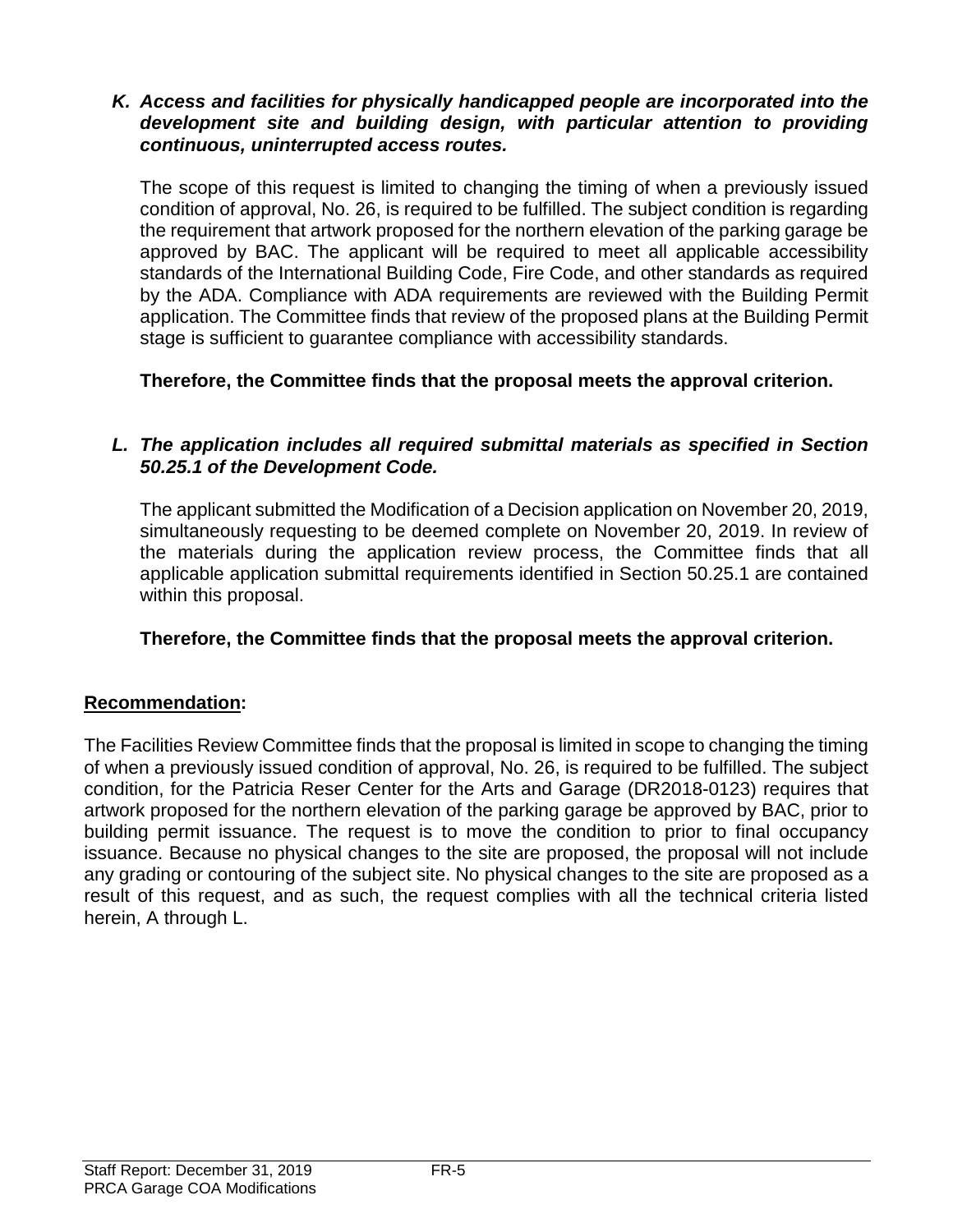#### *K. Access and facilities for physically handicapped people are incorporated into the development site and building design, with particular attention to providing continuous, uninterrupted access routes.*

The scope of this request is limited to changing the timing of when a previously issued condition of approval, No. 26, is required to be fulfilled. The subject condition is regarding the requirement that artwork proposed for the northern elevation of the parking garage be approved by BAC. The applicant will be required to meet all applicable accessibility standards of the International Building Code, Fire Code, and other standards as required by the ADA. Compliance with ADA requirements are reviewed with the Building Permit application. The Committee finds that review of the proposed plans at the Building Permit stage is sufficient to guarantee compliance with accessibility standards.

**Therefore, the Committee finds that the proposal meets the approval criterion.** 

# *L. The application includes all required submittal materials as specified in Section 50.25.1 of the Development Code.*

The applicant submitted the Modification of a Decision application on November 20, 2019, simultaneously requesting to be deemed complete on November 20, 2019. In review of the materials during the application review process, the Committee finds that all applicable application submittal requirements identified in Section 50.25.1 are contained within this proposal.

# **Therefore, the Committee finds that the proposal meets the approval criterion.**

#### **Recommendation:**

The Facilities Review Committee finds that the proposal is limited in scope to changing the timing of when a previously issued condition of approval, No. 26, is required to be fulfilled. The subject condition, for the Patricia Reser Center for the Arts and Garage (DR2018-0123) requires that artwork proposed for the northern elevation of the parking garage be approved by BAC, prior to building permit issuance. The request is to move the condition to prior to final occupancy issuance. Because no physical changes to the site are proposed, the proposal will not include any grading or contouring of the subject site. No physical changes to the site are proposed as a result of this request, and as such, the request complies with all the technical criteria listed herein, A through L.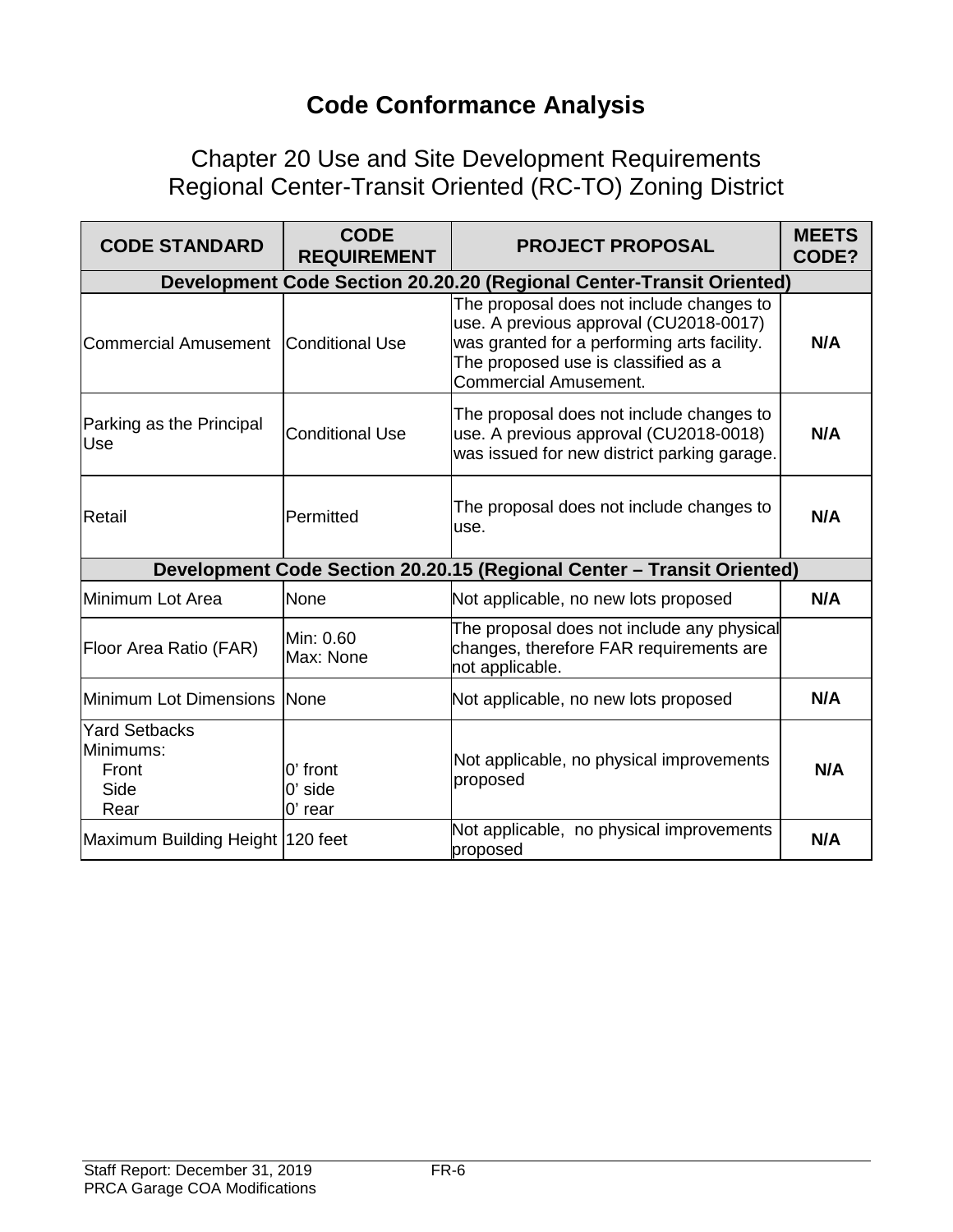# **Code Conformance Analysis**

Chapter 20 Use and Site Development Requirements Regional Center-Transit Oriented (RC-TO) Zoning District

| <b>CODE STANDARD</b>                                                   | <b>CODE</b><br><b>REQUIREMENT</b>  | <b>PROJECT PROPOSAL</b>                                                                                                                                                                                  | <b>MEETS</b><br>CODE? |
|------------------------------------------------------------------------|------------------------------------|----------------------------------------------------------------------------------------------------------------------------------------------------------------------------------------------------------|-----------------------|
|                                                                        |                                    | Development Code Section 20.20.20 (Regional Center-Transit Oriented)                                                                                                                                     |                       |
| <b>Commercial Amusement</b>                                            | Conditional Use                    | The proposal does not include changes to<br>use. A previous approval (CU2018-0017)<br>was granted for a performing arts facility.<br>The proposed use is classified as a<br><b>Commercial Amusement.</b> | N/A                   |
| Parking as the Principal<br>Use                                        | <b>Conditional Use</b>             | The proposal does not include changes to<br>use. A previous approval (CU2018-0018)<br>was issued for new district parking garage.                                                                        | N/A                   |
| Retail                                                                 | Permitted                          | The proposal does not include changes to<br>use.                                                                                                                                                         | N/A                   |
| Development Code Section 20.20.15 (Regional Center - Transit Oriented) |                                    |                                                                                                                                                                                                          |                       |
| Minimum Lot Area                                                       | None                               | Not applicable, no new lots proposed                                                                                                                                                                     | N/A                   |
| <b>Floor Area Ratio (FAR)</b>                                          | Min: 0.60<br>Max: None             | The proposal does not include any physical<br>changes, therefore FAR requirements are<br>not applicable.                                                                                                 |                       |
| Minimum Lot Dimensions                                                 | None                               | Not applicable, no new lots proposed                                                                                                                                                                     | N/A                   |
| <b>Yard Setbacks</b><br>Minimums:<br>Front<br>Side<br>Rear             | 0' front<br>$0'$ side<br>$0'$ rear | Not applicable, no physical improvements<br>proposed                                                                                                                                                     | N/A                   |
| Maximum Building Height   120 feet                                     |                                    | Not applicable, no physical improvements<br>proposed                                                                                                                                                     | N/A                   |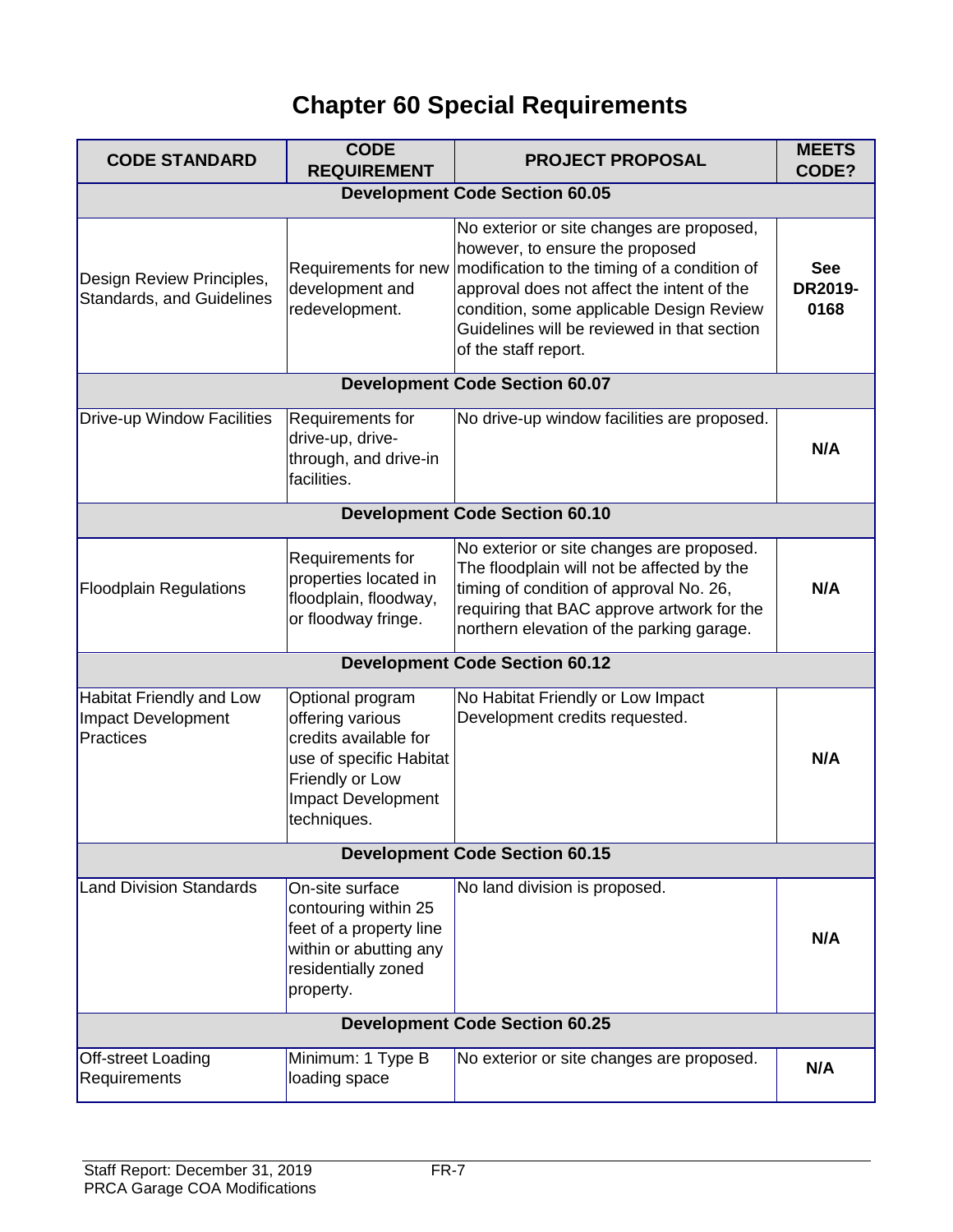# **Chapter 60 Special Requirements**

| <b>CODE STANDARD</b>                                          | <b>CODE</b><br><b>REQUIREMENT</b>                                                                                                                       | <b>PROJECT PROPOSAL</b>                                                                                                                                                                                                                                                                       | <b>MEETS</b><br>CODE?         |  |
|---------------------------------------------------------------|---------------------------------------------------------------------------------------------------------------------------------------------------------|-----------------------------------------------------------------------------------------------------------------------------------------------------------------------------------------------------------------------------------------------------------------------------------------------|-------------------------------|--|
|                                                               |                                                                                                                                                         | <b>Development Code Section 60.05</b>                                                                                                                                                                                                                                                         |                               |  |
| Design Review Principles,<br><b>Standards, and Guidelines</b> | Requirements for new<br>development and<br>redevelopment.                                                                                               | No exterior or site changes are proposed,<br>however, to ensure the proposed<br>modification to the timing of a condition of<br>approval does not affect the intent of the<br>condition, some applicable Design Review<br>Guidelines will be reviewed in that section<br>of the staff report. | <b>See</b><br>DR2019-<br>0168 |  |
|                                                               |                                                                                                                                                         | <b>Development Code Section 60.07</b>                                                                                                                                                                                                                                                         |                               |  |
| Drive-up Window Facilities                                    | Requirements for<br>drive-up, drive-<br>through, and drive-in<br>facilities.                                                                            | No drive-up window facilities are proposed.                                                                                                                                                                                                                                                   | N/A                           |  |
|                                                               |                                                                                                                                                         | <b>Development Code Section 60.10</b>                                                                                                                                                                                                                                                         |                               |  |
| <b>Floodplain Regulations</b>                                 | Requirements for<br>properties located in<br>floodplain, floodway,<br>or floodway fringe.                                                               | No exterior or site changes are proposed.<br>The floodplain will not be affected by the<br>timing of condition of approval No. 26,<br>requiring that BAC approve artwork for the<br>northern elevation of the parking garage.                                                                 | N/A                           |  |
| <b>Development Code Section 60.12</b>                         |                                                                                                                                                         |                                                                                                                                                                                                                                                                                               |                               |  |
| Habitat Friendly and Low<br>Impact Development<br>Practices   | Optional program<br>offering various<br>credits available for<br>use of specific Habitat<br>Friendly or Low<br><b>Impact Development</b><br>techniques. | No Habitat Friendly or Low Impact<br>Development credits requested.                                                                                                                                                                                                                           | N/A                           |  |
| <b>Development Code Section 60.15</b>                         |                                                                                                                                                         |                                                                                                                                                                                                                                                                                               |                               |  |
| <b>Land Division Standards</b>                                | On-site surface<br>contouring within 25<br>feet of a property line<br>within or abutting any<br>residentially zoned<br>property.                        | No land division is proposed.                                                                                                                                                                                                                                                                 | N/A                           |  |
| <b>Development Code Section 60.25</b>                         |                                                                                                                                                         |                                                                                                                                                                                                                                                                                               |                               |  |
| Off-street Loading<br>Requirements                            | Minimum: 1 Type B<br>loading space                                                                                                                      | No exterior or site changes are proposed.                                                                                                                                                                                                                                                     | N/A                           |  |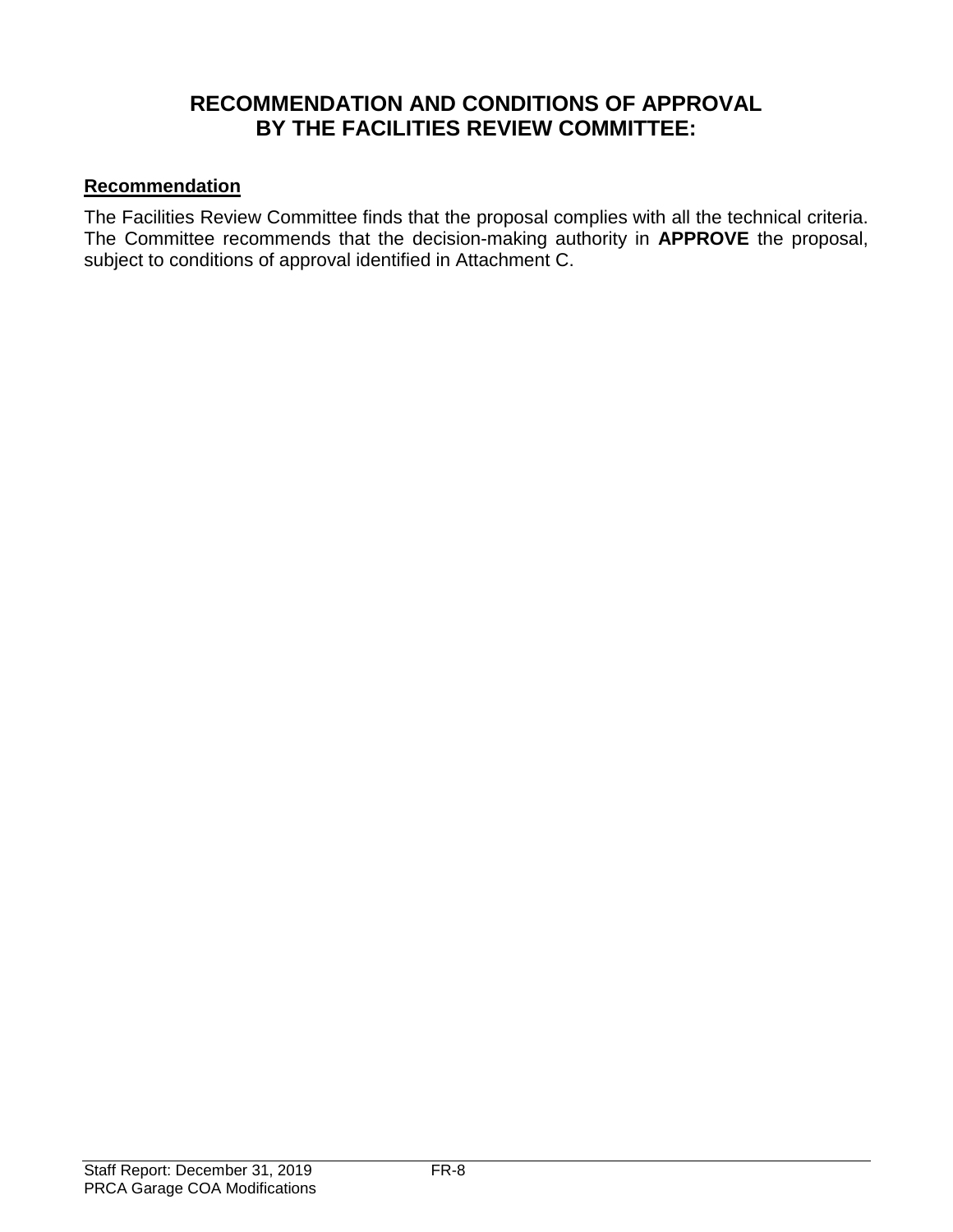# **RECOMMENDATION AND CONDITIONS OF APPROVAL BY THE FACILITIES REVIEW COMMITTEE:**

# **Recommendation**

The Facilities Review Committee finds that the proposal complies with all the technical criteria. The Committee recommends that the decision-making authority in **APPROVE** the proposal, subject to conditions of approval identified in Attachment C.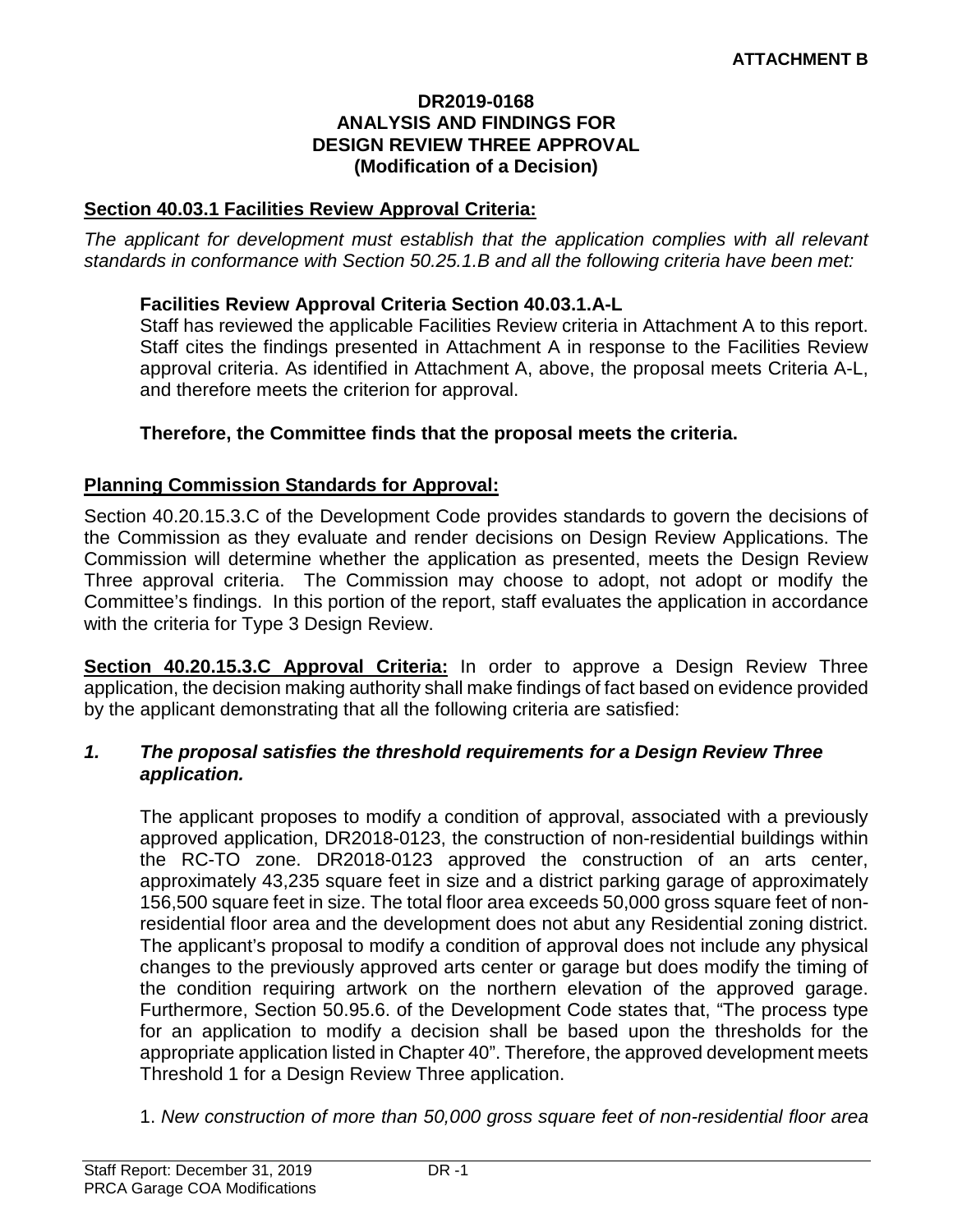#### **DR2019-0168 ANALYSIS AND FINDINGS FOR DESIGN REVIEW THREE APPROVAL (Modification of a Decision)**

#### **Section 40.03.1 Facilities Review Approval Criteria:**

*The applicant for development must establish that the application complies with all relevant standards in conformance with Section 50.25.1.B and all the following criteria have been met:* 

#### **Facilities Review Approval Criteria Section 40.03.1.A-L**

Staff has reviewed the applicable Facilities Review criteria in Attachment A to this report. Staff cites the findings presented in Attachment A in response to the Facilities Review approval criteria. As identified in Attachment A, above, the proposal meets Criteria A-L, and therefore meets the criterion for approval.

#### **Therefore, the Committee finds that the proposal meets the criteria.**

#### **Planning Commission Standards for Approval:**

Section 40.20.15.3.C of the Development Code provides standards to govern the decisions of the Commission as they evaluate and render decisions on Design Review Applications. The Commission will determine whether the application as presented, meets the Design Review Three approval criteria. The Commission may choose to adopt, not adopt or modify the Committee's findings. In this portion of the report, staff evaluates the application in accordance with the criteria for Type 3 Design Review.

**Section 40.20.15.3.C Approval Criteria:** In order to approve a Design Review Three application, the decision making authority shall make findings of fact based on evidence provided by the applicant demonstrating that all the following criteria are satisfied:

#### *1. The proposal satisfies the threshold requirements for a Design Review Three application.*

The applicant proposes to modify a condition of approval, associated with a previously approved application, DR2018-0123, the construction of non-residential buildings within the RC-TO zone. DR2018-0123 approved the construction of an arts center, approximately 43,235 square feet in size and a district parking garage of approximately 156,500 square feet in size. The total floor area exceeds 50,000 gross square feet of nonresidential floor area and the development does not abut any Residential zoning district. The applicant's proposal to modify a condition of approval does not include any physical changes to the previously approved arts center or garage but does modify the timing of the condition requiring artwork on the northern elevation of the approved garage. Furthermore, Section 50.95.6. of the Development Code states that, "The process type for an application to modify a decision shall be based upon the thresholds for the appropriate application listed in Chapter 40". Therefore, the approved development meets Threshold 1 for a Design Review Three application.

1. *New construction of more than 50,000 gross square feet of non-residential floor area*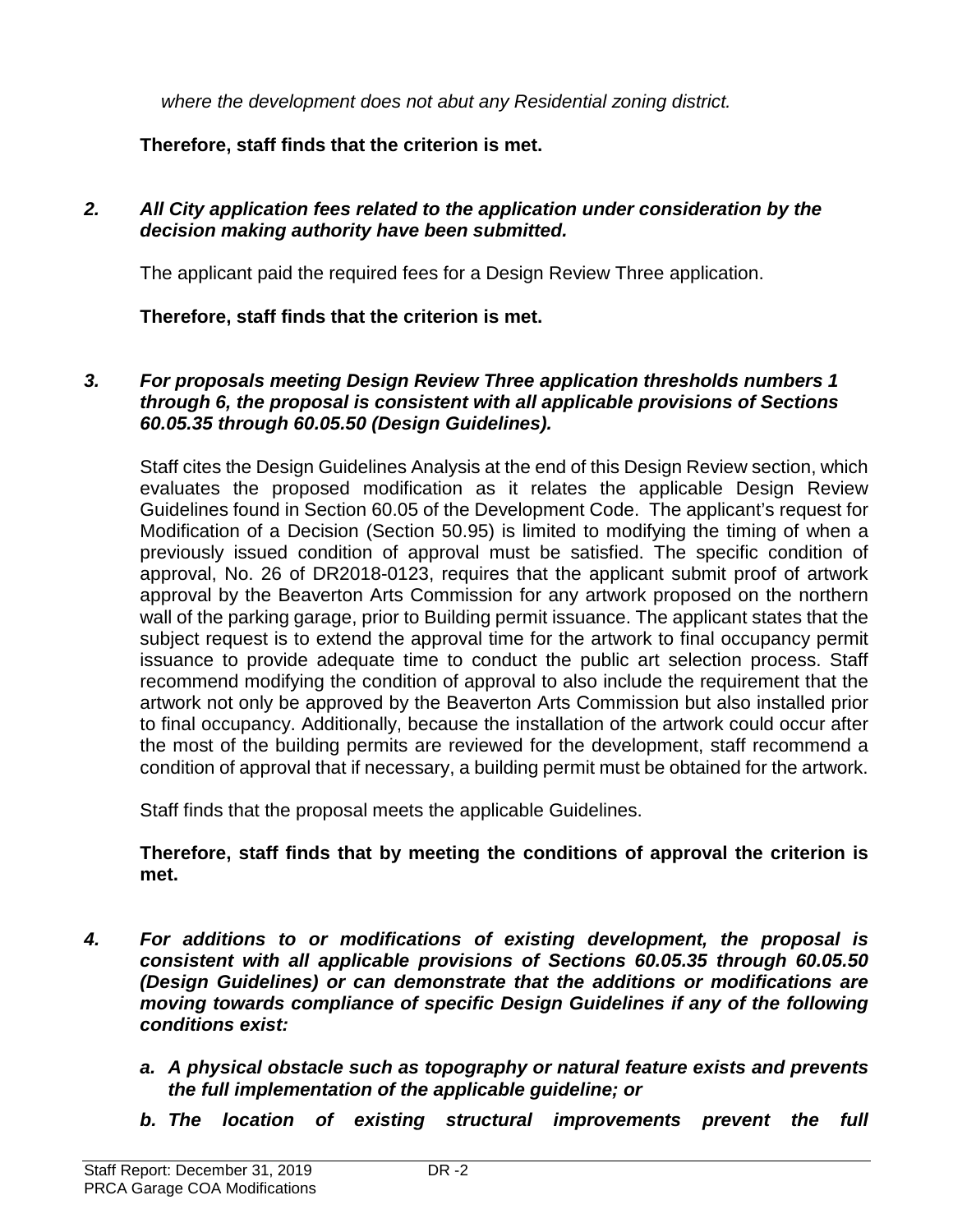*where the development does not abut any Residential zoning district.*

# **Therefore, staff finds that the criterion is met.**

#### *2. All City application fees related to the application under consideration by the decision making authority have been submitted.*

The applicant paid the required fees for a Design Review Three application.

**Therefore, staff finds that the criterion is met.**

#### *3. For proposals meeting Design Review Three application thresholds numbers 1 through 6, the proposal is consistent with all applicable provisions of Sections 60.05.35 through 60.05.50 (Design Guidelines).*

Staff cites the Design Guidelines Analysis at the end of this Design Review section, which evaluates the proposed modification as it relates the applicable Design Review Guidelines found in Section 60.05 of the Development Code. The applicant's request for Modification of a Decision (Section 50.95) is limited to modifying the timing of when a previously issued condition of approval must be satisfied. The specific condition of approval, No. 26 of DR2018-0123, requires that the applicant submit proof of artwork approval by the Beaverton Arts Commission for any artwork proposed on the northern wall of the parking garage, prior to Building permit issuance. The applicant states that the subject request is to extend the approval time for the artwork to final occupancy permit issuance to provide adequate time to conduct the public art selection process. Staff recommend modifying the condition of approval to also include the requirement that the artwork not only be approved by the Beaverton Arts Commission but also installed prior to final occupancy. Additionally, because the installation of the artwork could occur after the most of the building permits are reviewed for the development, staff recommend a condition of approval that if necessary, a building permit must be obtained for the artwork.

Staff finds that the proposal meets the applicable Guidelines.

#### **Therefore, staff finds that by meeting the conditions of approval the criterion is met.**

- *4. For additions to or modifications of existing development, the proposal is consistent with all applicable provisions of Sections 60.05.35 through 60.05.50 (Design Guidelines) or can demonstrate that the additions or modifications are moving towards compliance of specific Design Guidelines if any of the following conditions exist:*
	- *a. A physical obstacle such as topography or natural feature exists and prevents the full implementation of the applicable guideline; or*
	- *b. The location of existing structural improvements prevent the full*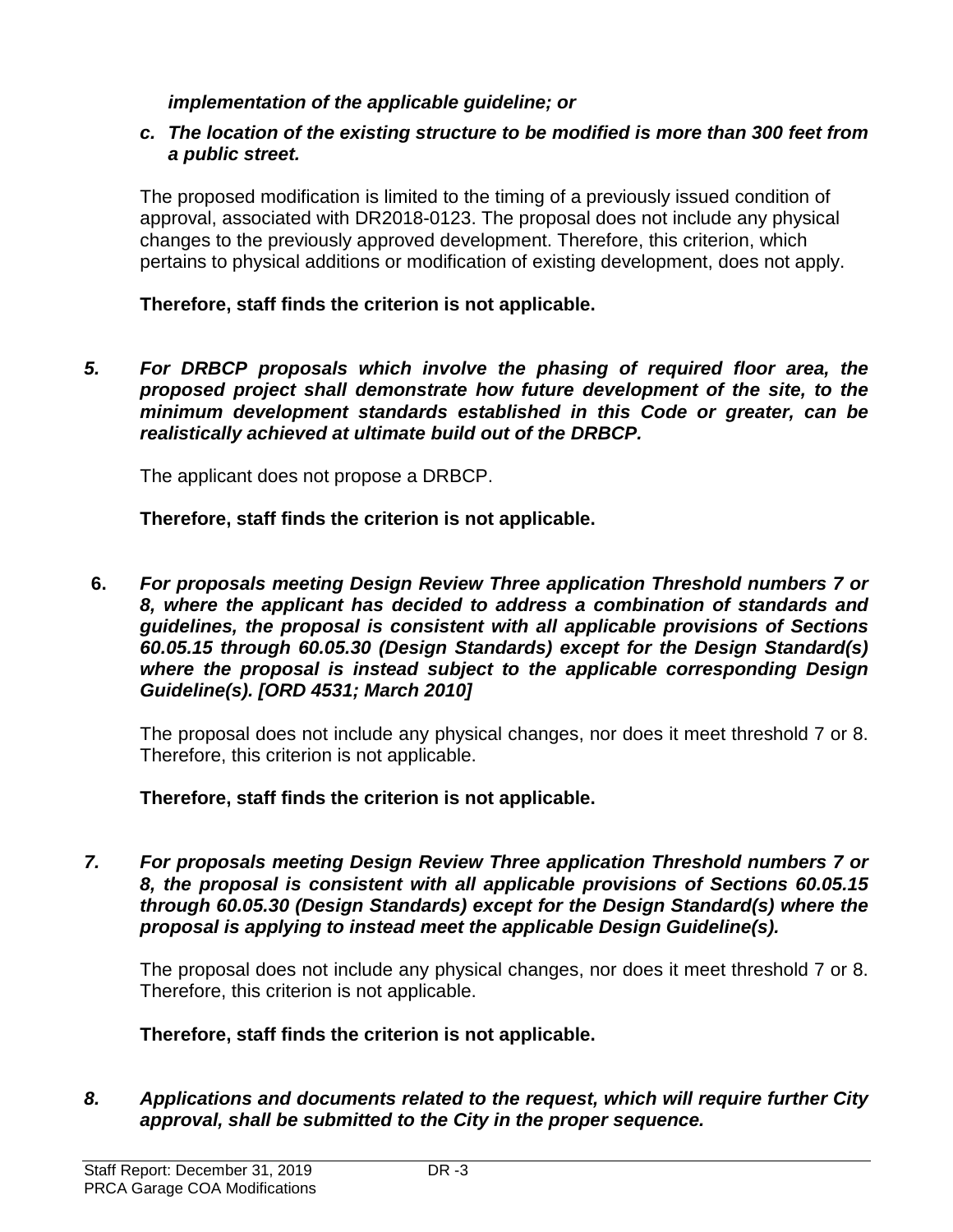#### *implementation of the applicable guideline; or*

#### *c. The location of the existing structure to be modified is more than 300 feet from a public street.*

The proposed modification is limited to the timing of a previously issued condition of approval, associated with DR2018-0123. The proposal does not include any physical changes to the previously approved development. Therefore, this criterion, which pertains to physical additions or modification of existing development, does not apply.

#### **Therefore, staff finds the criterion is not applicable.**

*5. For DRBCP proposals which involve the phasing of required floor area, the proposed project shall demonstrate how future development of the site, to the minimum development standards established in this Code or greater, can be realistically achieved at ultimate build out of the DRBCP.*

The applicant does not propose a DRBCP.

**Therefore, staff finds the criterion is not applicable.**

**6.** *For proposals meeting Design Review Three application Threshold numbers 7 or 8, where the applicant has decided to address a combination of standards and guidelines, the proposal is consistent with all applicable provisions of Sections 60.05.15 through 60.05.30 (Design Standards) except for the Design Standard(s) where the proposal is instead subject to the applicable corresponding Design Guideline(s). [ORD 4531; March 2010]*

The proposal does not include any physical changes, nor does it meet threshold 7 or 8. Therefore, this criterion is not applicable.

**Therefore, staff finds the criterion is not applicable.**

*7. For proposals meeting Design Review Three application Threshold numbers 7 or 8, the proposal is consistent with all applicable provisions of Sections 60.05.15 through 60.05.30 (Design Standards) except for the Design Standard(s) where the proposal is applying to instead meet the applicable Design Guideline(s).*

The proposal does not include any physical changes, nor does it meet threshold 7 or 8. Therefore, this criterion is not applicable.

**Therefore, staff finds the criterion is not applicable.**

*8. Applications and documents related to the request, which will require further City approval, shall be submitted to the City in the proper sequence.*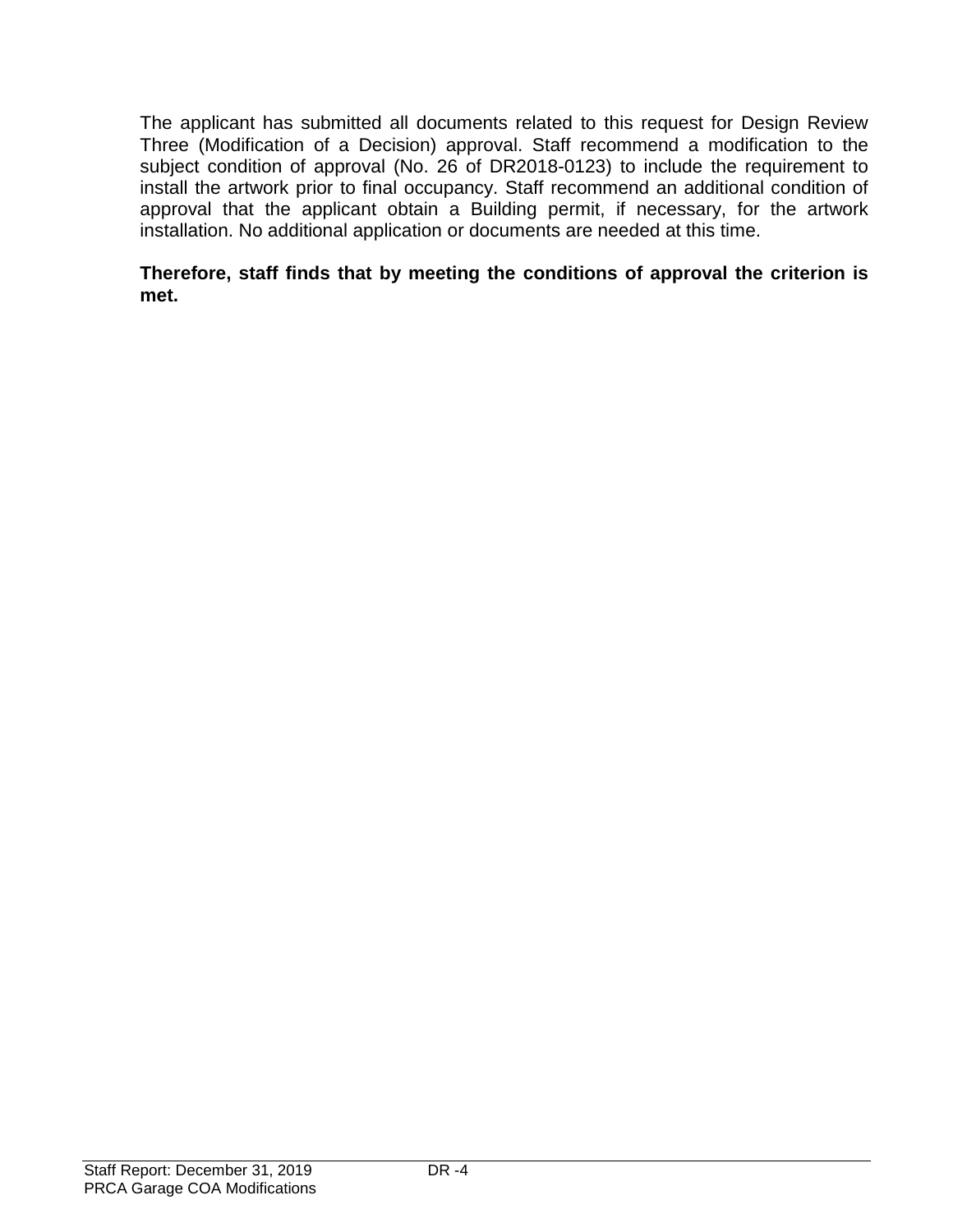The applicant has submitted all documents related to this request for Design Review Three (Modification of a Decision) approval. Staff recommend a modification to the subject condition of approval (No. 26 of DR2018-0123) to include the requirement to install the artwork prior to final occupancy. Staff recommend an additional condition of approval that the applicant obtain a Building permit, if necessary, for the artwork installation. No additional application or documents are needed at this time.

#### **Therefore, staff finds that by meeting the conditions of approval the criterion is met.**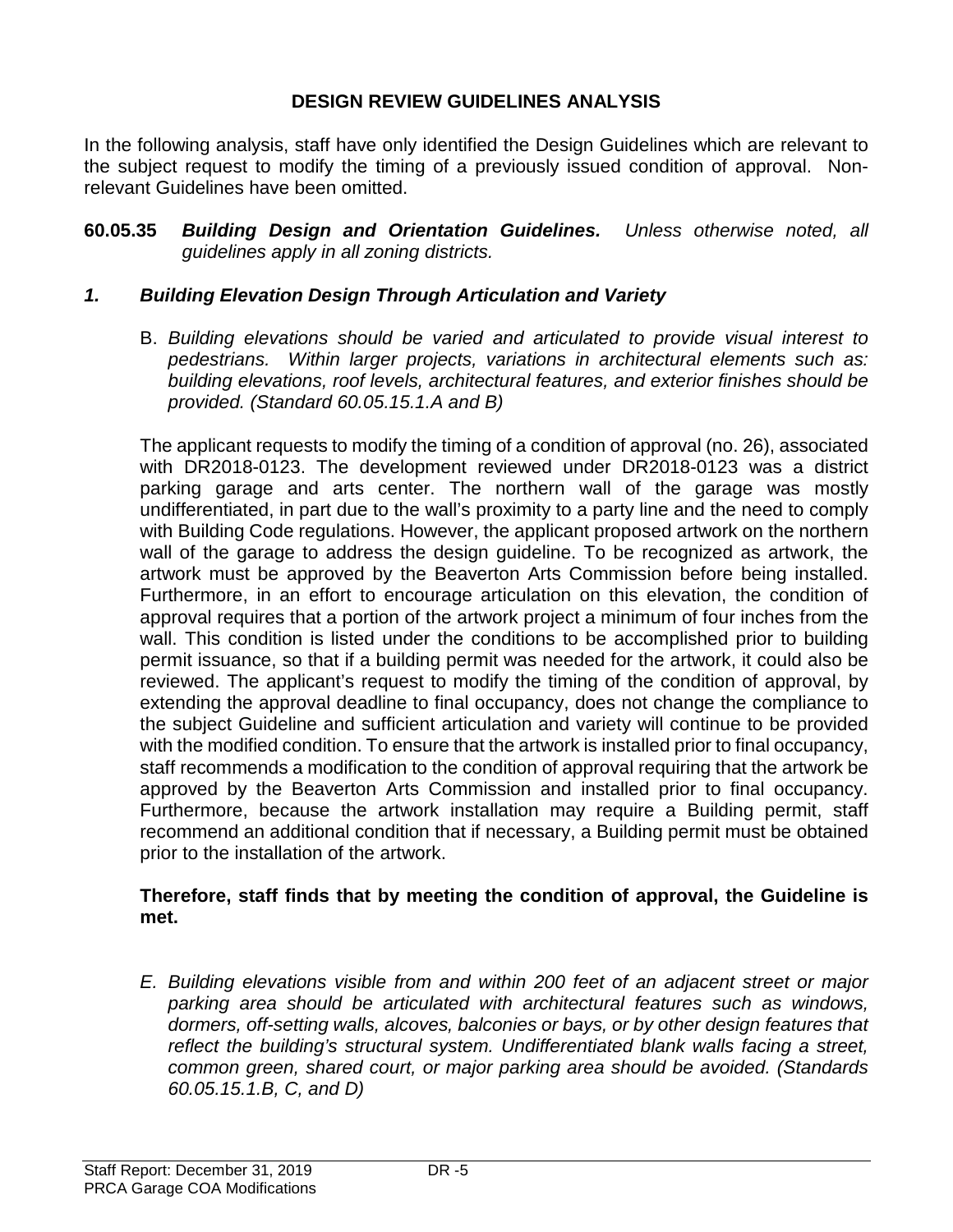#### **DESIGN REVIEW GUIDELINES ANALYSIS**

In the following analysis, staff have only identified the Design Guidelines which are relevant to the subject request to modify the timing of a previously issued condition of approval. Nonrelevant Guidelines have been omitted.

**60.05.35** *Building Design and Orientation Guidelines. Unless otherwise noted, all guidelines apply in all zoning districts.*

#### *1. Building Elevation Design Through Articulation and Variety*

B. *Building elevations should be varied and articulated to provide visual interest to pedestrians. Within larger projects, variations in architectural elements such as: building elevations, roof levels, architectural features, and exterior finishes should be provided. (Standard 60.05.15.1.A and B)*

The applicant requests to modify the timing of a condition of approval (no. 26), associated with DR2018-0123. The development reviewed under DR2018-0123 was a district parking garage and arts center. The northern wall of the garage was mostly undifferentiated, in part due to the wall's proximity to a party line and the need to comply with Building Code regulations. However, the applicant proposed artwork on the northern wall of the garage to address the design guideline. To be recognized as artwork, the artwork must be approved by the Beaverton Arts Commission before being installed. Furthermore, in an effort to encourage articulation on this elevation, the condition of approval requires that a portion of the artwork project a minimum of four inches from the wall. This condition is listed under the conditions to be accomplished prior to building permit issuance, so that if a building permit was needed for the artwork, it could also be reviewed. The applicant's request to modify the timing of the condition of approval, by extending the approval deadline to final occupancy, does not change the compliance to the subject Guideline and sufficient articulation and variety will continue to be provided with the modified condition. To ensure that the artwork is installed prior to final occupancy, staff recommends a modification to the condition of approval requiring that the artwork be approved by the Beaverton Arts Commission and installed prior to final occupancy. Furthermore, because the artwork installation may require a Building permit, staff recommend an additional condition that if necessary, a Building permit must be obtained prior to the installation of the artwork.

#### **Therefore, staff finds that by meeting the condition of approval, the Guideline is met.**

*E. Building elevations visible from and within 200 feet of an adjacent street or major parking area should be articulated with architectural features such as windows, dormers, off-setting walls, alcoves, balconies or bays, or by other design features that reflect the building's structural system. Undifferentiated blank walls facing a street, common green, shared court, or major parking area should be avoided. (Standards 60.05.15.1.B, C, and D)*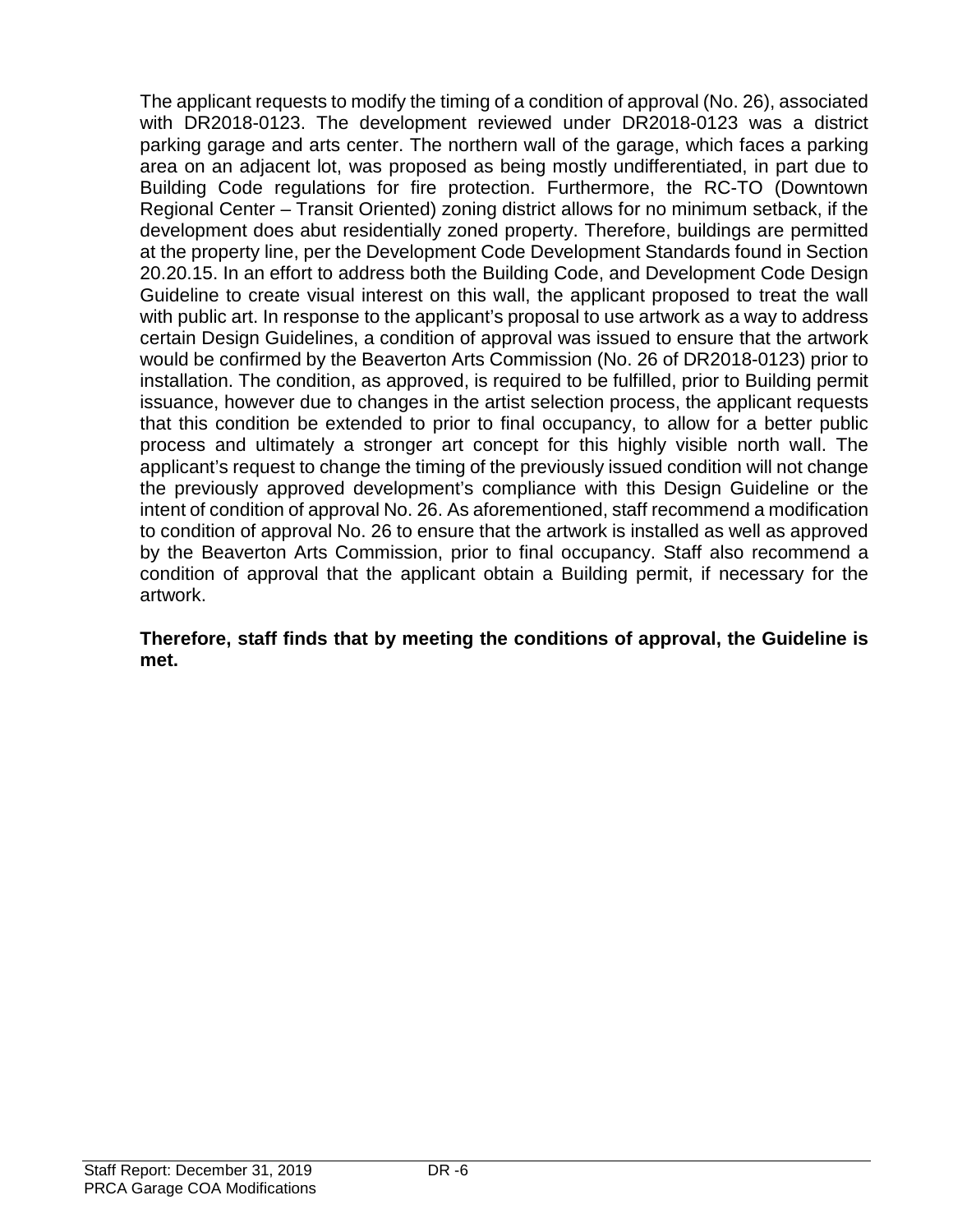The applicant requests to modify the timing of a condition of approval (No. 26), associated with DR2018-0123. The development reviewed under DR2018-0123 was a district parking garage and arts center. The northern wall of the garage, which faces a parking area on an adjacent lot, was proposed as being mostly undifferentiated, in part due to Building Code regulations for fire protection. Furthermore, the RC-TO (Downtown Regional Center – Transit Oriented) zoning district allows for no minimum setback, if the development does abut residentially zoned property. Therefore, buildings are permitted at the property line, per the Development Code Development Standards found in Section 20.20.15. In an effort to address both the Building Code, and Development Code Design Guideline to create visual interest on this wall, the applicant proposed to treat the wall with public art. In response to the applicant's proposal to use artwork as a way to address certain Design Guidelines, a condition of approval was issued to ensure that the artwork would be confirmed by the Beaverton Arts Commission (No. 26 of DR2018-0123) prior to installation. The condition, as approved, is required to be fulfilled, prior to Building permit issuance, however due to changes in the artist selection process, the applicant requests that this condition be extended to prior to final occupancy, to allow for a better public process and ultimately a stronger art concept for this highly visible north wall. The applicant's request to change the timing of the previously issued condition will not change the previously approved development's compliance with this Design Guideline or the intent of condition of approval No. 26. As aforementioned, staff recommend a modification to condition of approval No. 26 to ensure that the artwork is installed as well as approved by the Beaverton Arts Commission, prior to final occupancy. Staff also recommend a condition of approval that the applicant obtain a Building permit, if necessary for the artwork.

#### **Therefore, staff finds that by meeting the conditions of approval, the Guideline is met.**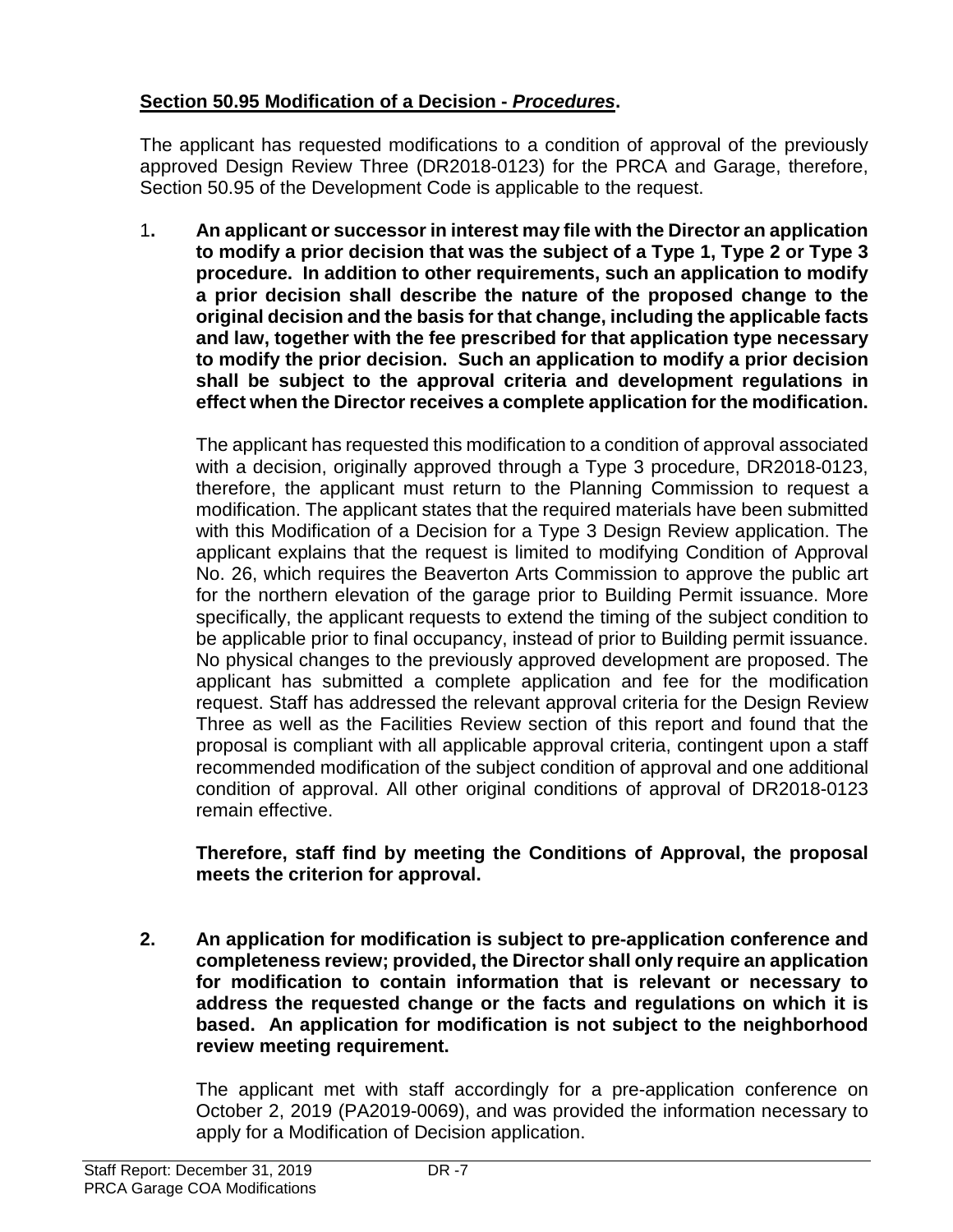# **Section 50.95 Modification of a Decision -** *Procedures***.**

The applicant has requested modifications to a condition of approval of the previously approved Design Review Three (DR2018-0123) for the PRCA and Garage, therefore, Section 50.95 of the Development Code is applicable to the request.

1**. An applicant or successor in interest may file with the Director an application to modify a prior decision that was the subject of a Type 1, Type 2 or Type 3 procedure. In addition to other requirements, such an application to modify a prior decision shall describe the nature of the proposed change to the original decision and the basis for that change, including the applicable facts and law, together with the fee prescribed for that application type necessary to modify the prior decision. Such an application to modify a prior decision shall be subject to the approval criteria and development regulations in effect when the Director receives a complete application for the modification.**

The applicant has requested this modification to a condition of approval associated with a decision, originally approved through a Type 3 procedure, DR2018-0123, therefore, the applicant must return to the Planning Commission to request a modification. The applicant states that the required materials have been submitted with this Modification of a Decision for a Type 3 Design Review application. The applicant explains that the request is limited to modifying Condition of Approval No. 26, which requires the Beaverton Arts Commission to approve the public art for the northern elevation of the garage prior to Building Permit issuance. More specifically, the applicant requests to extend the timing of the subject condition to be applicable prior to final occupancy, instead of prior to Building permit issuance. No physical changes to the previously approved development are proposed. The applicant has submitted a complete application and fee for the modification request. Staff has addressed the relevant approval criteria for the Design Review Three as well as the Facilities Review section of this report and found that the proposal is compliant with all applicable approval criteria, contingent upon a staff recommended modification of the subject condition of approval and one additional condition of approval. All other original conditions of approval of DR2018-0123 remain effective.

**Therefore, staff find by meeting the Conditions of Approval, the proposal meets the criterion for approval.**

**2. An application for modification is subject to pre-application conference and completeness review; provided, the Director shall only require an application for modification to contain information that is relevant or necessary to address the requested change or the facts and regulations on which it is based. An application for modification is not subject to the neighborhood review meeting requirement.**

The applicant met with staff accordingly for a pre-application conference on October 2, 2019 (PA2019-0069), and was provided the information necessary to apply for a Modification of Decision application.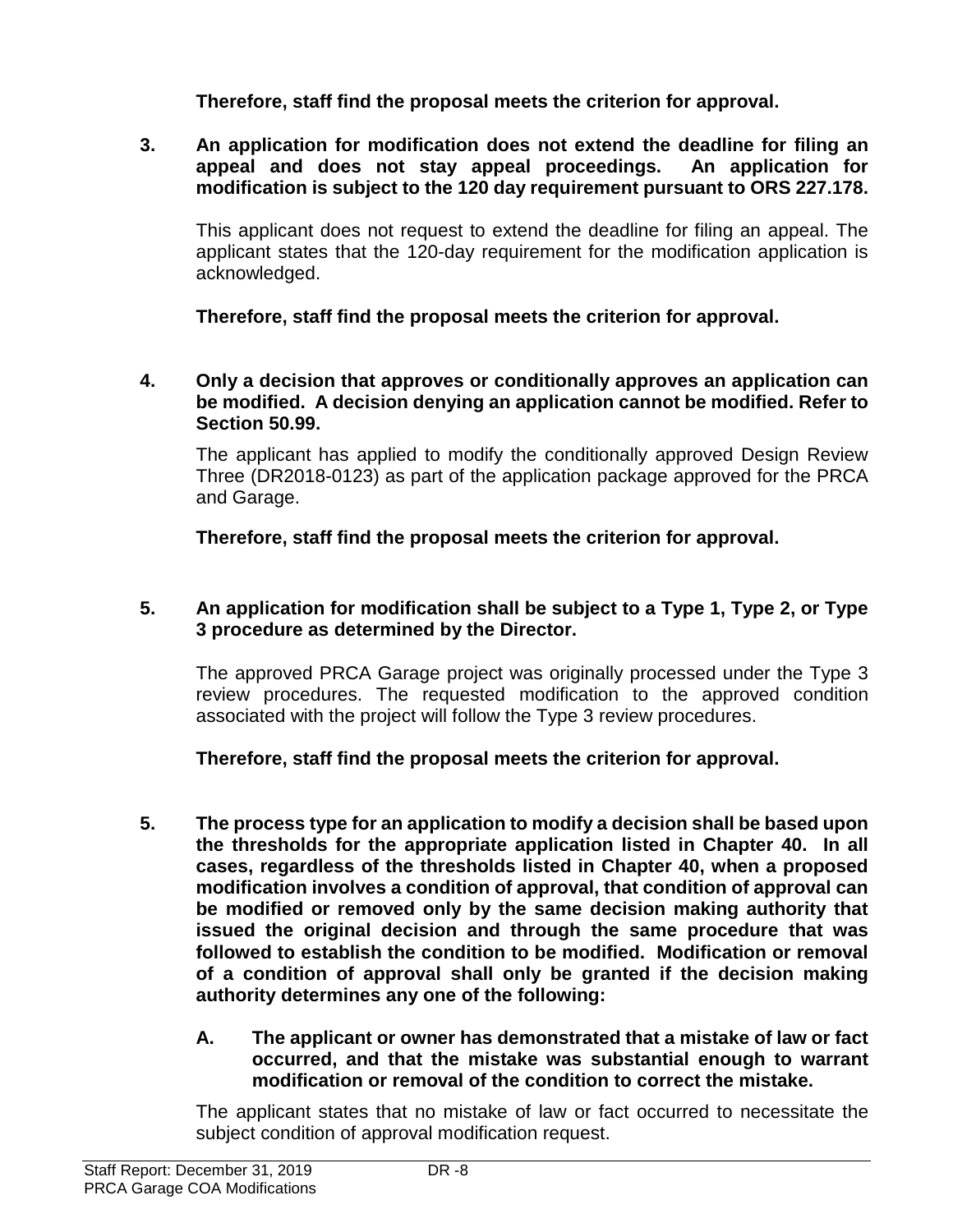**Therefore, staff find the proposal meets the criterion for approval.**

**3. An application for modification does not extend the deadline for filing an appeal and does not stay appeal proceedings. An application for modification is subject to the 120 day requirement pursuant to ORS 227.178.**

This applicant does not request to extend the deadline for filing an appeal. The applicant states that the 120-day requirement for the modification application is acknowledged.

**Therefore, staff find the proposal meets the criterion for approval.**

**4. Only a decision that approves or conditionally approves an application can be modified. A decision denying an application cannot be modified. Refer to Section 50.99.**

The applicant has applied to modify the conditionally approved Design Review Three (DR2018-0123) as part of the application package approved for the PRCA and Garage.

**Therefore, staff find the proposal meets the criterion for approval.**

#### **5. An application for modification shall be subject to a Type 1, Type 2, or Type 3 procedure as determined by the Director.**

The approved PRCA Garage project was originally processed under the Type 3 review procedures. The requested modification to the approved condition associated with the project will follow the Type 3 review procedures.

**Therefore, staff find the proposal meets the criterion for approval.**

**5. The process type for an application to modify a decision shall be based upon the thresholds for the appropriate application listed in Chapter 40. In all cases, regardless of the thresholds listed in Chapter 40, when a proposed modification involves a condition of approval, that condition of approval can be modified or removed only by the same decision making authority that issued the original decision and through the same procedure that was followed to establish the condition to be modified. Modification or removal of a condition of approval shall only be granted if the decision making authority determines any one of the following:**

#### **A. The applicant or owner has demonstrated that a mistake of law or fact occurred, and that the mistake was substantial enough to warrant modification or removal of the condition to correct the mistake.**

The applicant states that no mistake of law or fact occurred to necessitate the subject condition of approval modification request.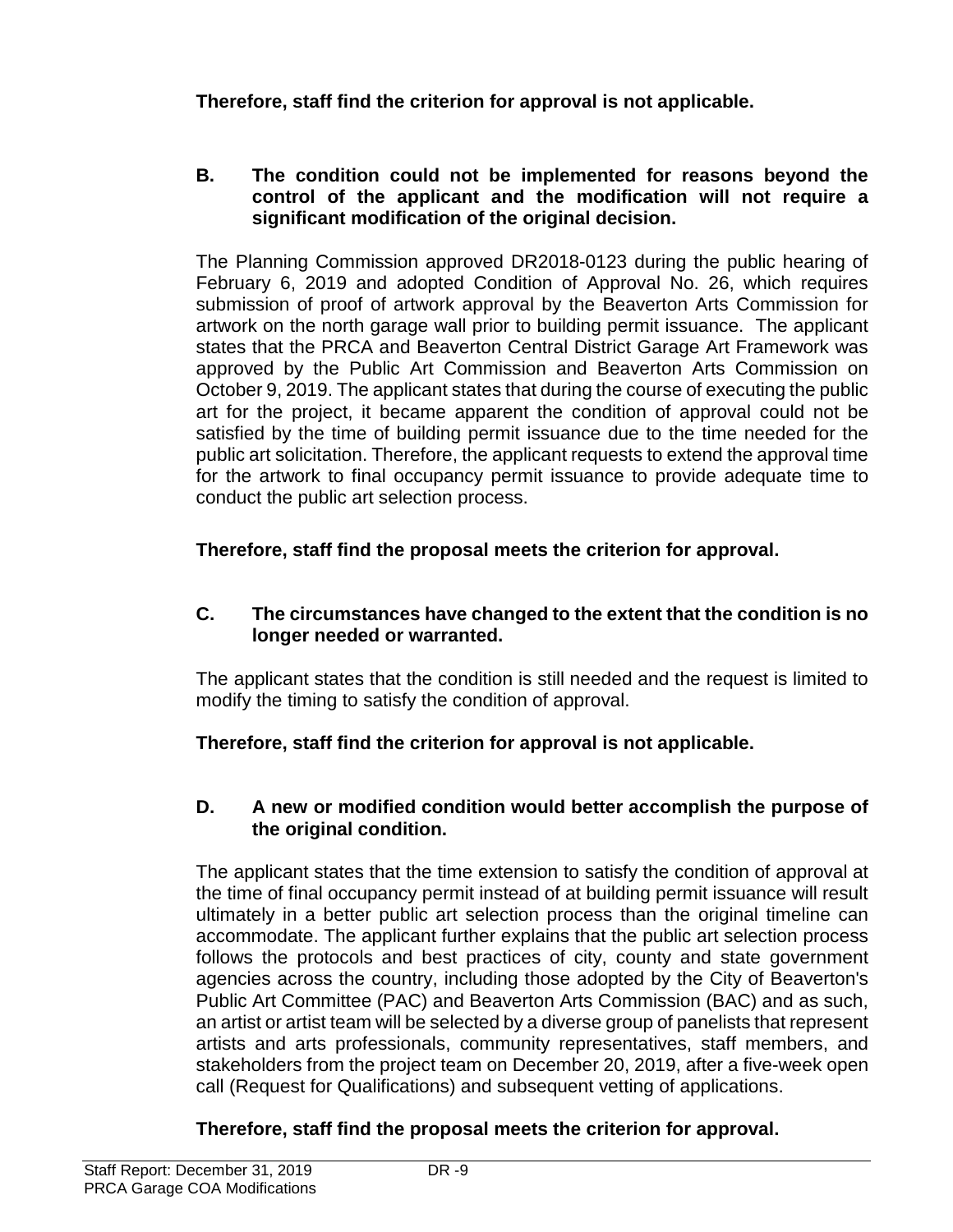**Therefore, staff find the criterion for approval is not applicable.**

#### **B. The condition could not be implemented for reasons beyond the control of the applicant and the modification will not require a significant modification of the original decision.**

The Planning Commission approved DR2018-0123 during the public hearing of February 6, 2019 and adopted Condition of Approval No. 26, which requires submission of proof of artwork approval by the Beaverton Arts Commission for artwork on the north garage wall prior to building permit issuance. The applicant states that the PRCA and Beaverton Central District Garage Art Framework was approved by the Public Art Commission and Beaverton Arts Commission on October 9, 2019. The applicant states that during the course of executing the public art for the project, it became apparent the condition of approval could not be satisfied by the time of building permit issuance due to the time needed for the public art solicitation. Therefore, the applicant requests to extend the approval time for the artwork to final occupancy permit issuance to provide adequate time to conduct the public art selection process.

**Therefore, staff find the proposal meets the criterion for approval.**

#### **C. The circumstances have changed to the extent that the condition is no longer needed or warranted.**

The applicant states that the condition is still needed and the request is limited to modify the timing to satisfy the condition of approval.

**Therefore, staff find the criterion for approval is not applicable.**

#### **D. A new or modified condition would better accomplish the purpose of the original condition.**

The applicant states that the time extension to satisfy the condition of approval at the time of final occupancy permit instead of at building permit issuance will result ultimately in a better public art selection process than the original timeline can accommodate. The applicant further explains that the public art selection process follows the protocols and best practices of city, county and state government agencies across the country, including those adopted by the City of Beaverton's Public Art Committee (PAC) and Beaverton Arts Commission (BAC) and as such, an artist or artist team will be selected by a diverse group of panelists that represent artists and arts professionals, community representatives, staff members, and stakeholders from the project team on December 20, 2019, after a five-week open call (Request for Qualifications) and subsequent vetting of applications.

# **Therefore, staff find the proposal meets the criterion for approval.**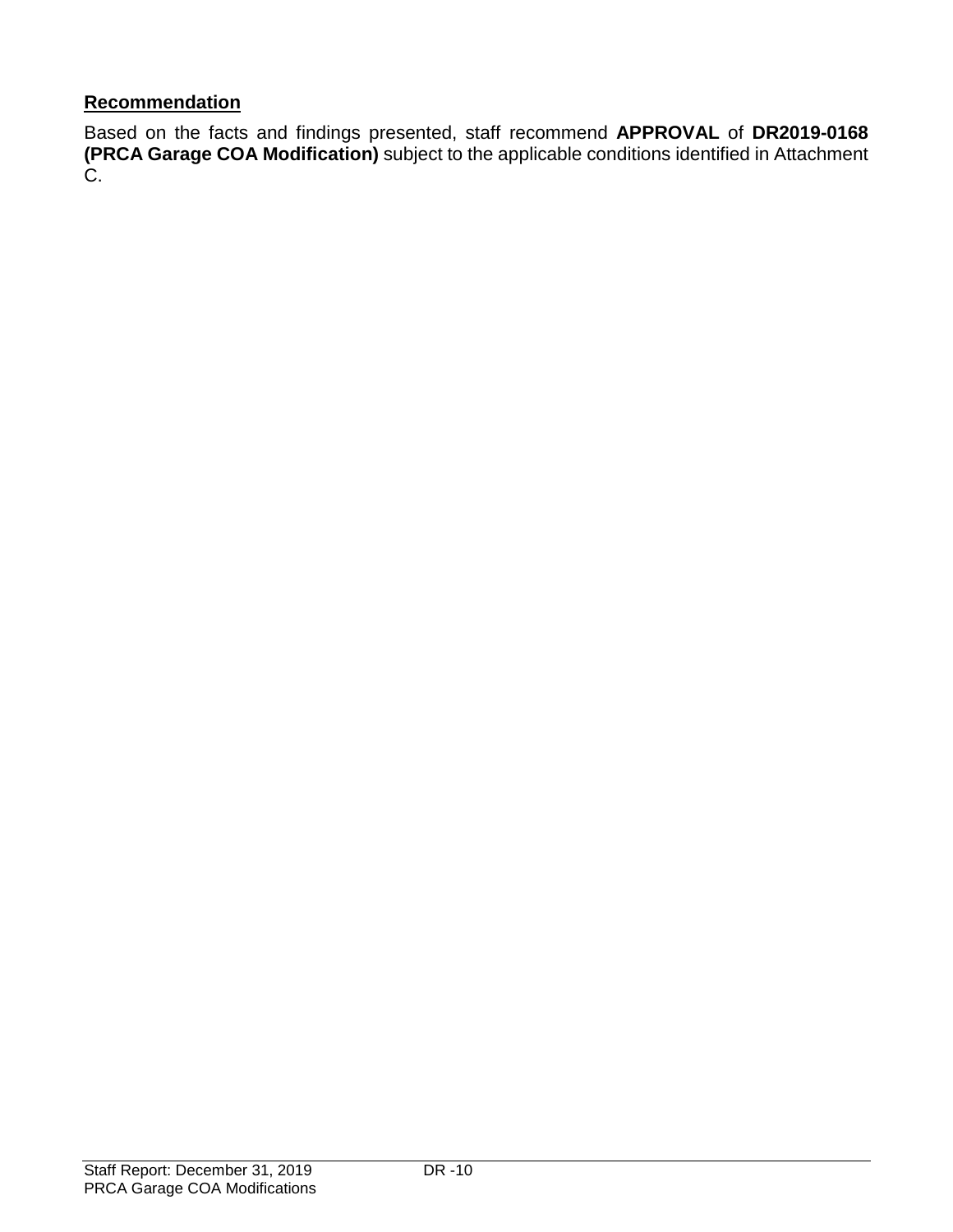# **Recommendation**

Based on the facts and findings presented, staff recommend **APPROVAL** of **DR2019-0168 (PRCA Garage COA Modification)** subject to the applicable conditions identified in Attachment C.